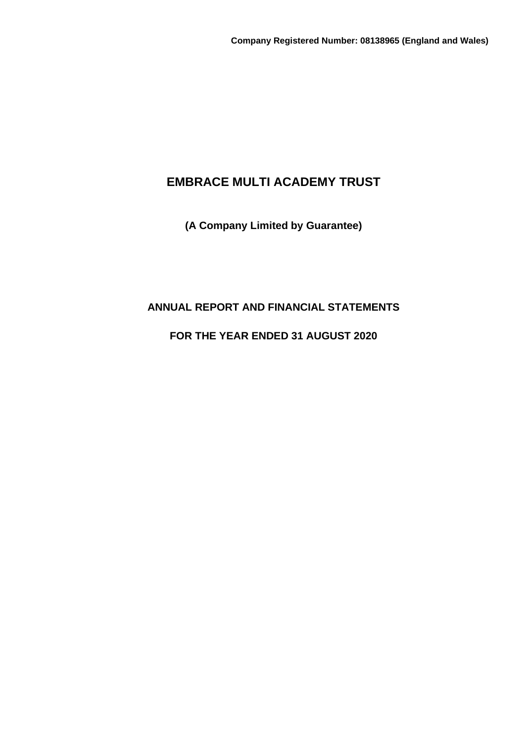**(A Company Limited by Guarantee)**

# **ANNUAL REPORT AND FINANCIAL STATEMENTS**

# **FOR THE YEAR ENDED 31 AUGUST 2020**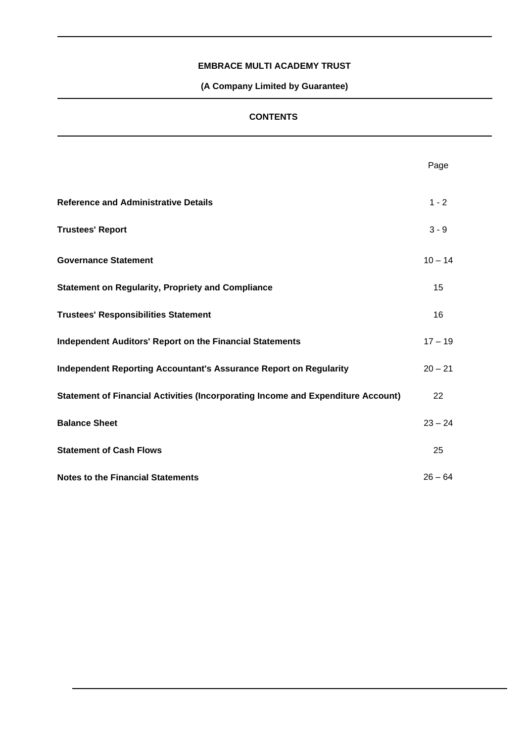**(A Company Limited by Guarantee)**

# **CONTENTS**

|                                                                                  | Page      |
|----------------------------------------------------------------------------------|-----------|
| <b>Reference and Administrative Details</b>                                      | $1 - 2$   |
| <b>Trustees' Report</b>                                                          | $3 - 9$   |
| <b>Governance Statement</b>                                                      | $10 - 14$ |
| <b>Statement on Regularity, Propriety and Compliance</b>                         | 15        |
| <b>Trustees' Responsibilities Statement</b>                                      | 16        |
| <b>Independent Auditors' Report on the Financial Statements</b>                  | $17 - 19$ |
| <b>Independent Reporting Accountant's Assurance Report on Regularity</b>         | $20 - 21$ |
| Statement of Financial Activities (Incorporating Income and Expenditure Account) | 22        |
| <b>Balance Sheet</b>                                                             | $23 - 24$ |
| <b>Statement of Cash Flows</b>                                                   | 25        |
| <b>Notes to the Financial Statements</b>                                         | $26 - 64$ |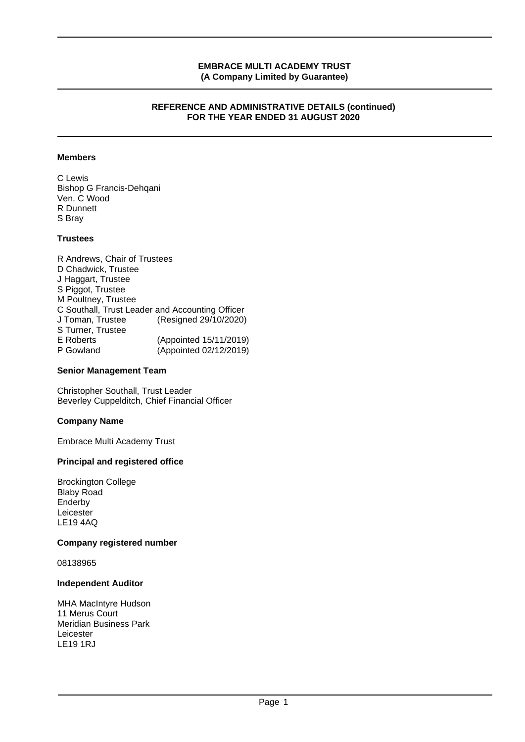#### **REFERENCE AND ADMINISTRATIVE DETAILS (continued) FOR THE YEAR ENDED 31 AUGUST 2020**

#### **Members**

C Lewis Bishop G Francis-Dehqani Ven. C Wood R Dunnett S Bray

### **Trustees**

R Andrews, Chair of Trustees D Chadwick, Trustee J Haggart, Trustee S Piggot, Trustee M Poultney, Trustee C Southall, Trust Leader and Accounting Officer<br>J Toman, Trustee (Resigned 29/10/2020) (Resigned 29/10/2020) S Turner, Trustee<br>E Roberts E Roberts (Appointed 15/11/2019)<br>P Gowland (Appointed 02/12/2019) (Appointed 02/12/2019)

#### **Senior Management Team**

Christopher Southall, Trust Leader Beverley Cuppelditch, Chief Financial Officer

### **Company Name**

Embrace Multi Academy Trust

### **Principal and registered office**

Brockington College Blaby Road Enderby Leicester LE19 4AQ

#### **Company registered number**

08138965

#### **Independent Auditor**

MHA MacIntyre Hudson 11 Merus Court Meridian Business Park Leicester LE19 1RJ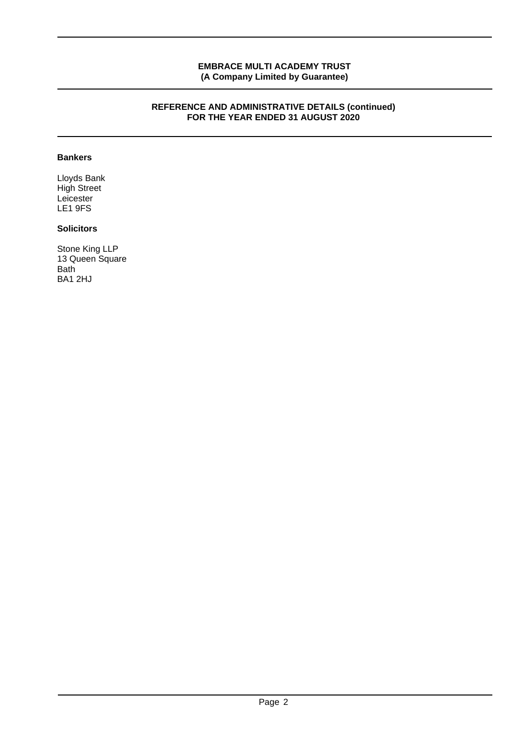### **REFERENCE AND ADMINISTRATIVE DETAILS (continued) FOR THE YEAR ENDED 31 AUGUST 2020**

### **Bankers**

Lloyds Bank High Street Leicester LE1 9FS

# **Solicitors**

Stone King LLP 13 Queen Square Bath BA1 2HJ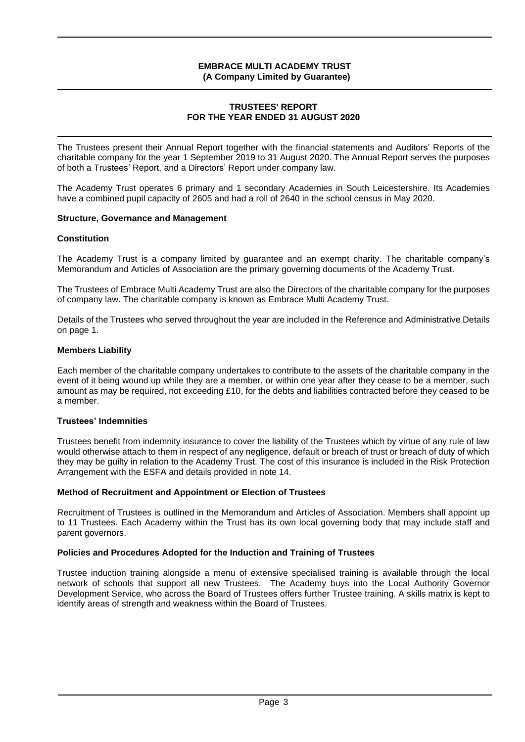### **TRUSTEES' REPORT FOR THE YEAR ENDED 31 AUGUST 2020**

The Trustees present their Annual Report together with the financial statements and Auditors' Reports of the charitable company for the year 1 September 2019 to 31 August 2020. The Annual Report serves the purposes of both a Trustees' Report, and a Directors' Report under company law.

The Academy Trust operates 6 primary and 1 secondary Academies in South Leicestershire. Its Academies have a combined pupil capacity of 2605 and had a roll of 2640 in the school census in May 2020.

#### **Structure, Governance and Management**

#### **Constitution**

The Academy Trust is a company limited by guarantee and an exempt charity. The charitable company's Memorandum and Articles of Association are the primary governing documents of the Academy Trust.

The Trustees of Embrace Multi Academy Trust are also the Directors of the charitable company for the purposes of company law. The charitable company is known as Embrace Multi Academy Trust.

Details of the Trustees who served throughout the year are included in the Reference and Administrative Details on page 1.

#### **Members Liability**

Each member of the charitable company undertakes to contribute to the assets of the charitable company in the event of it being wound up while they are a member, or within one year after they cease to be a member, such amount as may be required, not exceeding £10, for the debts and liabilities contracted before they ceased to be a member.

#### **Trustees' Indemnities**

Trustees benefit from indemnity insurance to cover the liability of the Trustees which by virtue of any rule of law would otherwise attach to them in respect of any negligence, default or breach of trust or breach of duty of which they may be guilty in relation to the Academy Trust. The cost of this insurance is included in the Risk Protection Arrangement with the ESFA and details provided in note 14.

### **Method of Recruitment and Appointment or Election of Trustees**

Recruitment of Trustees is outlined in the Memorandum and Articles of Association. Members shall appoint up to 11 Trustees. Each Academy within the Trust has its own local governing body that may include staff and parent governors.

### **Policies and Procedures Adopted for the Induction and Training of Trustees**

Trustee induction training alongside a menu of extensive specialised training is available through the local network of schools that support all new Trustees. The Academy buys into the Local Authority Governor Development Service, who across the Board of Trustees offers further Trustee training. A skills matrix is kept to identify areas of strength and weakness within the Board of Trustees.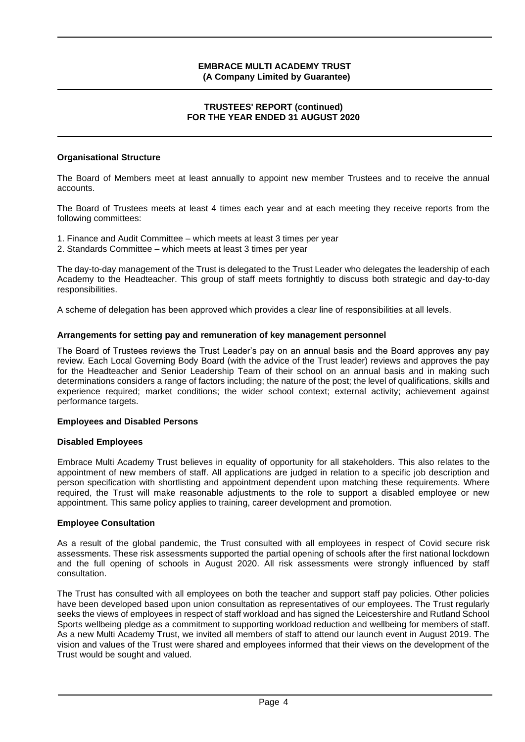### **TRUSTEES' REPORT (continued) FOR THE YEAR ENDED 31 AUGUST 2020**

### **Organisational Structure**

The Board of Members meet at least annually to appoint new member Trustees and to receive the annual accounts.

The Board of Trustees meets at least 4 times each year and at each meeting they receive reports from the following committees:

- 1. Finance and Audit Committee which meets at least 3 times per year
- 2. Standards Committee which meets at least 3 times per year

The day-to-day management of the Trust is delegated to the Trust Leader who delegates the leadership of each Academy to the Headteacher. This group of staff meets fortnightly to discuss both strategic and day-to-day responsibilities.

A scheme of delegation has been approved which provides a clear line of responsibilities at all levels.

#### **Arrangements for setting pay and remuneration of key management personnel**

The Board of Trustees reviews the Trust Leader's pay on an annual basis and the Board approves any pay review. Each Local Governing Body Board (with the advice of the Trust leader) reviews and approves the pay for the Headteacher and Senior Leadership Team of their school on an annual basis and in making such determinations considers a range of factors including; the nature of the post; the level of qualifications, skills and experience required; market conditions; the wider school context; external activity; achievement against performance targets.

#### **Employees and Disabled Persons**

#### **Disabled Employees**

Embrace Multi Academy Trust believes in equality of opportunity for all stakeholders. This also relates to the appointment of new members of staff. All applications are judged in relation to a specific job description and person specification with shortlisting and appointment dependent upon matching these requirements. Where required, the Trust will make reasonable adjustments to the role to support a disabled employee or new appointment. This same policy applies to training, career development and promotion.

#### **Employee Consultation**

As a result of the global pandemic, the Trust consulted with all employees in respect of Covid secure risk assessments. These risk assessments supported the partial opening of schools after the first national lockdown and the full opening of schools in August 2020. All risk assessments were strongly influenced by staff consultation.

The Trust has consulted with all employees on both the teacher and support staff pay policies. Other policies have been developed based upon union consultation as representatives of our employees. The Trust regularly seeks the views of employees in respect of staff workload and has signed the Leicestershire and Rutland School Sports wellbeing pledge as a commitment to supporting workload reduction and wellbeing for members of staff. As a new Multi Academy Trust, we invited all members of staff to attend our launch event in August 2019. The vision and values of the Trust were shared and employees informed that their views on the development of the Trust would be sought and valued.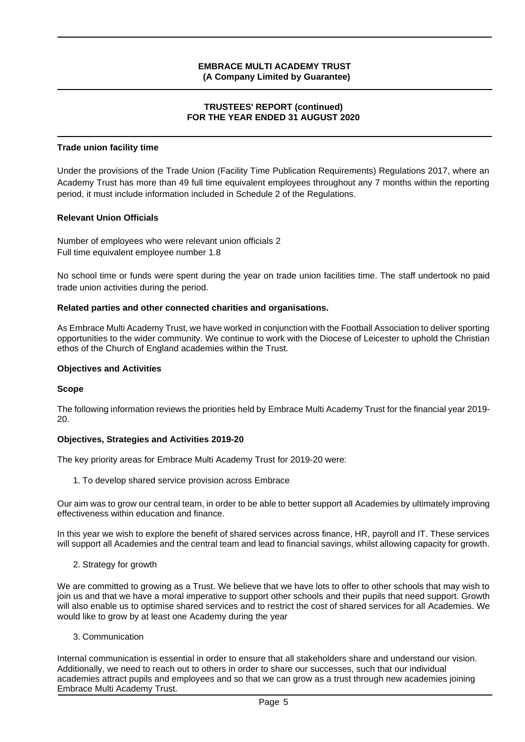#### **TRUSTEES' REPORT (continued) FOR THE YEAR ENDED 31 AUGUST 2020**

### **Trade union facility time**

Under the provisions of the Trade Union (Facility Time Publication Requirements) Regulations 2017, where an Academy Trust has more than 49 full time equivalent employees throughout any 7 months within the reporting period, it must include information included in Schedule 2 of the Regulations.

#### **Relevant Union Officials**

Number of employees who were relevant union officials 2 Full time equivalent employee number 1.8

No school time or funds were spent during the year on trade union facilities time. The staff undertook no paid trade union activities during the period.

### **Related parties and other connected charities and organisations.**

As Embrace Multi Academy Trust, we have worked in conjunction with the Football Association to deliver sporting opportunities to the wider community. We continue to work with the Diocese of Leicester to uphold the Christian ethos of the Church of England academies within the Trust.

#### **Objectives and Activities**

#### **Scope**

The following information reviews the priorities held by Embrace Multi Academy Trust for the financial year 2019- 20.

#### **Objectives, Strategies and Activities 2019-20**

The key priority areas for Embrace Multi Academy Trust for 2019-20 were:

1. To develop shared service provision across Embrace

Our aim was to grow our central team, in order to be able to better support all Academies by ultimately improving effectiveness within education and finance.

In this year we wish to explore the benefit of shared services across finance, HR, payroll and IT. These services will support all Academies and the central team and lead to financial savings, whilst allowing capacity for growth.

2. Strategy for growth

We are committed to growing as a Trust. We believe that we have lots to offer to other schools that may wish to join us and that we have a moral imperative to support other schools and their pupils that need support. Growth will also enable us to optimise shared services and to restrict the cost of shared services for all Academies. We would like to grow by at least one Academy during the year

3. Communication

Internal communication is essential in order to ensure that all stakeholders share and understand our vision. Additionally, we need to reach out to others in order to share our successes, such that our individual academies attract pupils and employees and so that we can grow as a trust through new academies joining Embrace Multi Academy Trust.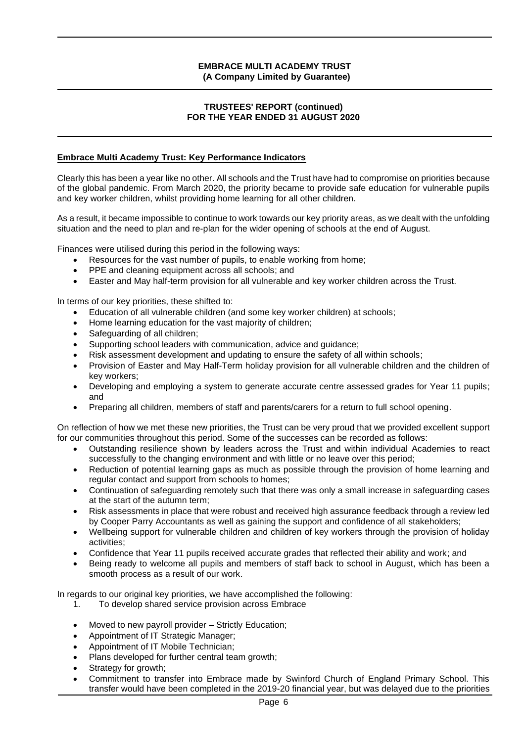#### **TRUSTEES' REPORT (continued) FOR THE YEAR ENDED 31 AUGUST 2020**

### **Embrace Multi Academy Trust: Key Performance Indicators**

Clearly this has been a year like no other. All schools and the Trust have had to compromise on priorities because of the global pandemic. From March 2020, the priority became to provide safe education for vulnerable pupils and key worker children, whilst providing home learning for all other children.

As a result, it became impossible to continue to work towards our key priority areas, as we dealt with the unfolding situation and the need to plan and re-plan for the wider opening of schools at the end of August.

Finances were utilised during this period in the following ways:

- Resources for the vast number of pupils, to enable working from home;
- PPE and cleaning equipment across all schools; and
- Easter and May half-term provision for all vulnerable and key worker children across the Trust.

In terms of our key priorities, these shifted to:

- Education of all vulnerable children (and some key worker children) at schools;
- Home learning education for the vast majority of children;
- Safeguarding of all children;
- Supporting school leaders with communication, advice and guidance;
- Risk assessment development and updating to ensure the safety of all within schools;
- Provision of Easter and May Half-Term holiday provision for all vulnerable children and the children of key workers;
- Developing and employing a system to generate accurate centre assessed grades for Year 11 pupils; and
- Preparing all children, members of staff and parents/carers for a return to full school opening.

On reflection of how we met these new priorities, the Trust can be very proud that we provided excellent support for our communities throughout this period. Some of the successes can be recorded as follows:

- Outstanding resilience shown by leaders across the Trust and within individual Academies to react successfully to the changing environment and with little or no leave over this period;
- Reduction of potential learning gaps as much as possible through the provision of home learning and regular contact and support from schools to homes;
- Continuation of safeguarding remotely such that there was only a small increase in safeguarding cases at the start of the autumn term;
- Risk assessments in place that were robust and received high assurance feedback through a review led by Cooper Parry Accountants as well as gaining the support and confidence of all stakeholders;
- Wellbeing support for vulnerable children and children of key workers through the provision of holiday activities;
- Confidence that Year 11 pupils received accurate grades that reflected their ability and work; and
- Being ready to welcome all pupils and members of staff back to school in August, which has been a smooth process as a result of our work.

In regards to our original key priorities, we have accomplished the following:

- 1. To develop shared service provision across Embrace
- Moved to new payroll provider Strictly Education;
- Appointment of IT Strategic Manager;
- Appointment of IT Mobile Technician;
- Plans developed for further central team growth;
- Strategy for growth;
- Commitment to transfer into Embrace made by Swinford Church of England Primary School. This transfer would have been completed in the 2019-20 financial year, but was delayed due to the priorities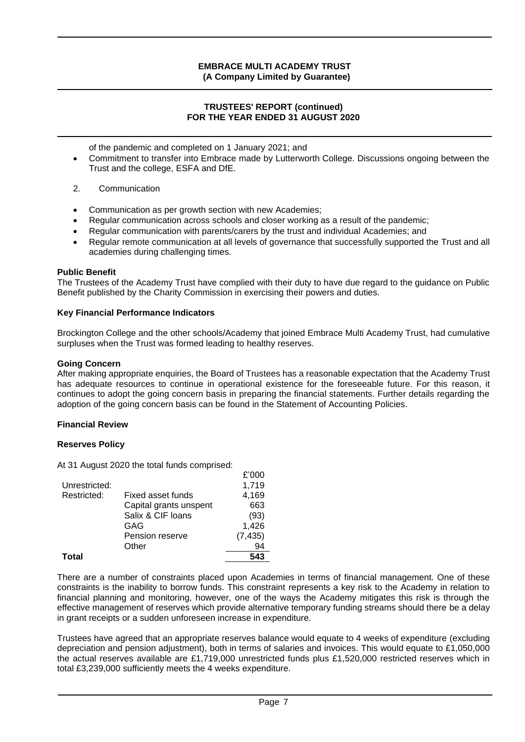### **TRUSTEES' REPORT (continued) FOR THE YEAR ENDED 31 AUGUST 2020**

of the pandemic and completed on 1 January 2021; and

- Commitment to transfer into Embrace made by Lutterworth College. Discussions ongoing between the Trust and the college, ESFA and DfE.
- 2. Communication
- Communication as per growth section with new Academies;
- Regular communication across schools and closer working as a result of the pandemic;
- Regular communication with parents/carers by the trust and individual Academies; and
- Regular remote communication at all levels of governance that successfully supported the Trust and all academies during challenging times.

#### **Public Benefit**

The Trustees of the Academy Trust have complied with their duty to have due regard to the guidance on Public Benefit published by the Charity Commission in exercising their powers and duties.

#### **Key Financial Performance Indicators**

Brockington College and the other schools/Academy that joined Embrace Multi Academy Trust, had cumulative surpluses when the Trust was formed leading to healthy reserves.

#### **Going Concern**

After making appropriate enquiries, the Board of Trustees has a reasonable expectation that the Academy Trust has adequate resources to continue in operational existence for the foreseeable future. For this reason, it continues to adopt the going concern basis in preparing the financial statements. Further details regarding the adoption of the going concern basis can be found in the Statement of Accounting Policies.

 $C<sub>2000</sub>$ 

### **Financial Review**

#### **Reserves Policy**

At 31 August 2020 the total funds comprised:

| Total         |                        | 543      |
|---------------|------------------------|----------|
|               | Other                  | 94       |
|               | Pension reserve        | (7, 435) |
|               | GAG                    | 1,426    |
|               | Salix & CIF loans      | (93)     |
|               | Capital grants unspent | 663      |
| Restricted:   | Fixed asset funds      | 4,169    |
| Unrestricted: |                        | 1,719    |
|               |                        | t uuu    |

There are a number of constraints placed upon Academies in terms of financial management. One of these constraints is the inability to borrow funds. This constraint represents a key risk to the Academy in relation to financial planning and monitoring, however, one of the ways the Academy mitigates this risk is through the effective management of reserves which provide alternative temporary funding streams should there be a delay in grant receipts or a sudden unforeseen increase in expenditure.

Trustees have agreed that an appropriate reserves balance would equate to 4 weeks of expenditure (excluding depreciation and pension adjustment), both in terms of salaries and invoices. This would equate to £1,050,000 the actual reserves available are £1,719,000 unrestricted funds plus £1,520,000 restricted reserves which in total £3,239,000 sufficiently meets the 4 weeks expenditure.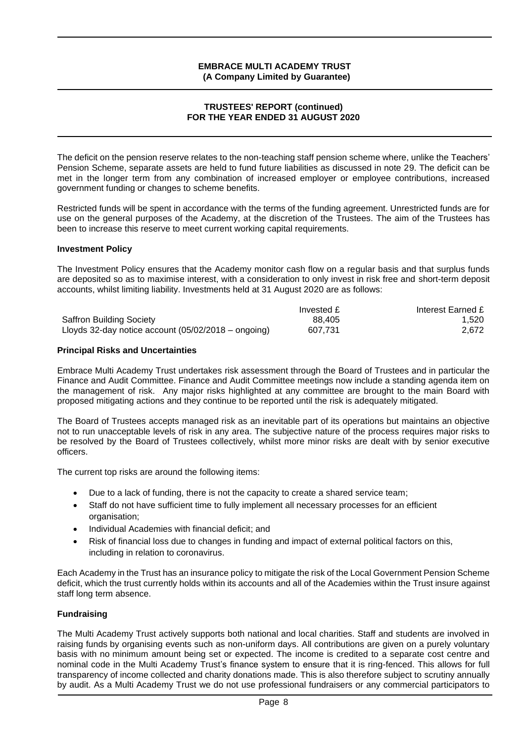#### **TRUSTEES' REPORT (continued) FOR THE YEAR ENDED 31 AUGUST 2020**

The deficit on the pension reserve relates to the non-teaching staff pension scheme where, unlike the Teachers' Pension Scheme, separate assets are held to fund future liabilities as discussed in note 29. The deficit can be met in the longer term from any combination of increased employer or employee contributions, increased government funding or changes to scheme benefits.

Restricted funds will be spent in accordance with the terms of the funding agreement. Unrestricted funds are for use on the general purposes of the Academy, at the discretion of the Trustees. The aim of the Trustees has been to increase this reserve to meet current working capital requirements.

#### **Investment Policy**

The Investment Policy ensures that the Academy monitor cash flow on a regular basis and that surplus funds are deposited so as to maximise interest, with a consideration to only invest in risk free and short-term deposit accounts, whilst limiting liability. Investments held at 31 August 2020 are as follows:

|                                                       | Invested £ | Interest Earned £ |
|-------------------------------------------------------|------------|-------------------|
| <b>Saffron Building Society</b>                       | 88.405     | 1.520             |
| Lloyds 32-day notice account $(05/02/2018 -$ ongoing) | 607.731    | 2.672             |

### **Principal Risks and Uncertainties**

Embrace Multi Academy Trust undertakes risk assessment through the Board of Trustees and in particular the Finance and Audit Committee. Finance and Audit Committee meetings now include a standing agenda item on the management of risk. Any major risks highlighted at any committee are brought to the main Board with proposed mitigating actions and they continue to be reported until the risk is adequately mitigated.

The Board of Trustees accepts managed risk as an inevitable part of its operations but maintains an objective not to run unacceptable levels of risk in any area. The subjective nature of the process requires major risks to be resolved by the Board of Trustees collectively, whilst more minor risks are dealt with by senior executive officers.

The current top risks are around the following items:

- Due to a lack of funding, there is not the capacity to create a shared service team;
- Staff do not have sufficient time to fully implement all necessary processes for an efficient organisation;
- Individual Academies with financial deficit; and
- Risk of financial loss due to changes in funding and impact of external political factors on this, including in relation to coronavirus.

Each Academy in the Trust has an insurance policy to mitigate the risk of the Local Government Pension Scheme deficit, which the trust currently holds within its accounts and all of the Academies within the Trust insure against staff long term absence.

### **Fundraising**

The Multi Academy Trust actively supports both national and local charities. Staff and students are involved in raising funds by organising events such as non-uniform days. All contributions are given on a purely voluntary basis with no minimum amount being set or expected. The income is credited to a separate cost centre and nominal code in the Multi Academy Trust's finance system to ensure that it is ring-fenced. This allows for full transparency of income collected and charity donations made. This is also therefore subject to scrutiny annually by audit. As a Multi Academy Trust we do not use professional fundraisers or any commercial participators to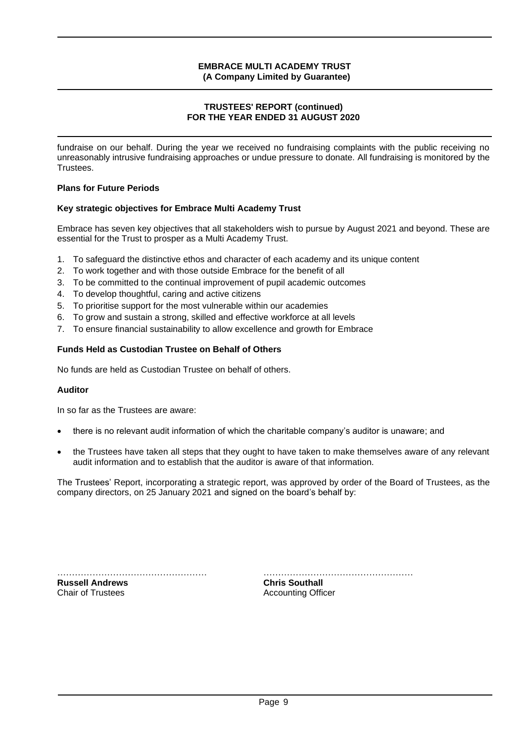### **TRUSTEES' REPORT (continued) FOR THE YEAR ENDED 31 AUGUST 2020**

fundraise on our behalf. During the year we received no fundraising complaints with the public receiving no unreasonably intrusive fundraising approaches or undue pressure to donate. All fundraising is monitored by the Trustees.

## **Plans for Future Periods**

## **Key strategic objectives for Embrace Multi Academy Trust**

Embrace has seven key objectives that all stakeholders wish to pursue by August 2021 and beyond. These are essential for the Trust to prosper as a Multi Academy Trust.

- 1. To safeguard the distinctive ethos and character of each academy and its unique content
- 2. To work together and with those outside Embrace for the benefit of all
- 3. To be committed to the continual improvement of pupil academic outcomes
- 4. To develop thoughtful, caring and active citizens
- 5. To prioritise support for the most vulnerable within our academies
- 6. To grow and sustain a strong, skilled and effective workforce at all levels
- 7. To ensure financial sustainability to allow excellence and growth for Embrace

## **Funds Held as Custodian Trustee on Behalf of Others**

No funds are held as Custodian Trustee on behalf of others.

### **Auditor**

In so far as the Trustees are aware:

- there is no relevant audit information of which the charitable company's auditor is unaware; and
- the Trustees have taken all steps that they ought to have taken to make themselves aware of any relevant audit information and to establish that the auditor is aware of that information.

The Trustees' Report, incorporating a strategic report, was approved by order of the Board of Trustees, as the company directors, on 25 January 2021 and signed on the board's behalf by:

**Russell Andrews Chris Southall**  Chair of Trustees **Accounting Officer** Accounting Officer

…………………………………………… ……………………………………………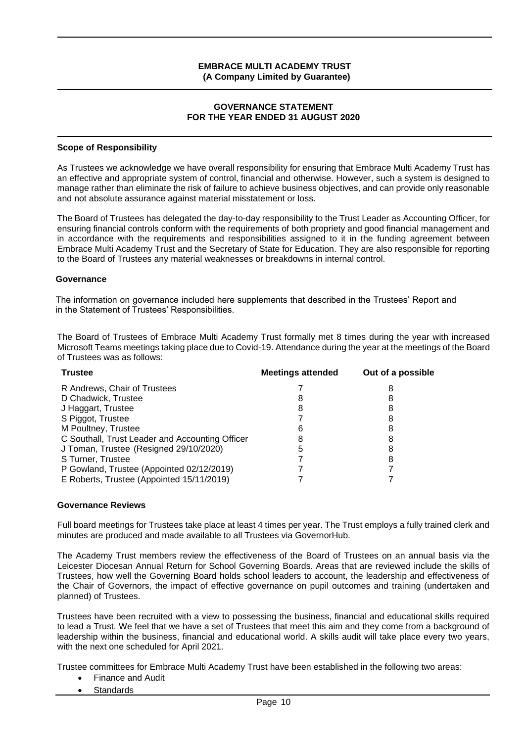#### **GOVERNANCE STATEMENT FOR THE YEAR ENDED 31 AUGUST 2020**

#### **Scope of Responsibility**

As Trustees we acknowledge we have overall responsibility for ensuring that Embrace Multi Academy Trust has an effective and appropriate system of control, financial and otherwise. However, such a system is designed to manage rather than eliminate the risk of failure to achieve business objectives, and can provide only reasonable and not absolute assurance against material misstatement or loss.

The Board of Trustees has delegated the day-to-day responsibility to the Trust Leader as Accounting Officer, for ensuring financial controls conform with the requirements of both propriety and good financial management and in accordance with the requirements and responsibilities assigned to it in the funding agreement between Embrace Multi Academy Trust and the Secretary of State for Education. They are also responsible for reporting to the Board of Trustees any material weaknesses or breakdowns in internal control.

#### **Governance**

The information on governance included here supplements that described in the Trustees' Report and in the Statement of Trustees' Responsibilities.

The Board of Trustees of Embrace Multi Academy Trust formally met 8 times during the year with increased Microsoft Teams meetings taking place due to Covid-19. Attendance during the year at the meetings of the Board of Trustees was as follows:

| <b>Trustee</b>                                  | <b>Meetings attended</b> | Out of a possible |
|-------------------------------------------------|--------------------------|-------------------|
| R Andrews, Chair of Trustees                    |                          | 8                 |
| D Chadwick, Trustee                             | 8                        | 8                 |
| J Haggart, Trustee                              | 8                        | 8                 |
| S Piggot, Trustee                               |                          | 8                 |
| M Poultney, Trustee                             | 6                        | 8                 |
| C Southall, Trust Leader and Accounting Officer | 8                        | 8                 |
| J Toman, Trustee (Resigned 29/10/2020)          | 5                        | 8                 |
| S Turner, Trustee                               |                          | 8                 |
| P Gowland, Trustee (Appointed 02/12/2019)       |                          |                   |
| E Roberts, Trustee (Appointed 15/11/2019)       |                          |                   |

#### **Governance Reviews**

Full board meetings for Trustees take place at least 4 times per year. The Trust employs a fully trained clerk and minutes are produced and made available to all Trustees via GovernorHub.

The Academy Trust members review the effectiveness of the Board of Trustees on an annual basis via the Leicester Diocesan Annual Return for School Governing Boards. Areas that are reviewed include the skills of Trustees, how well the Governing Board holds school leaders to account, the leadership and effectiveness of the Chair of Governors, the impact of effective governance on pupil outcomes and training (undertaken and planned) of Trustees.

Trustees have been recruited with a view to possessing the business, financial and educational skills required to lead a Trust. We feel that we have a set of Trustees that meet this aim and they come from a background of leadership within the business, financial and educational world. A skills audit will take place every two years, with the next one scheduled for April 2021.

Trustee committees for Embrace Multi Academy Trust have been established in the following two areas:

- Finance and Audit
- **Standards**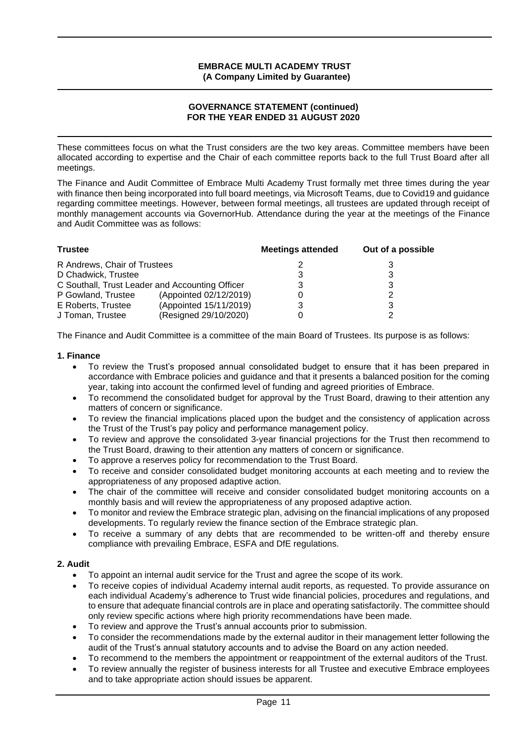### **GOVERNANCE STATEMENT (continued) FOR THE YEAR ENDED 31 AUGUST 2020**

These committees focus on what the Trust considers are the two key areas. Committee members have been allocated according to expertise and the Chair of each committee reports back to the full Trust Board after all meetings.

The Finance and Audit Committee of Embrace Multi Academy Trust formally met three times during the year with finance then being incorporated into full board meetings, via Microsoft Teams, due to Covid19 and guidance regarding committee meetings. However, between formal meetings, all trustees are updated through receipt of monthly management accounts via GovernorHub. Attendance during the year at the meetings of the Finance and Audit Committee was as follows:

| <b>Trustee</b>                                  | <b>Meetings attended</b> | Out of a possible |
|-------------------------------------------------|--------------------------|-------------------|
| R Andrews, Chair of Trustees                    |                          |                   |
| D Chadwick, Trustee                             |                          |                   |
| C Southall, Trust Leader and Accounting Officer |                          |                   |
| (Appointed 02/12/2019)<br>P Gowland, Trustee    |                          | 2                 |
| (Appointed 15/11/2019)<br>E Roberts, Trustee    | 3                        | 3                 |
| (Resigned 29/10/2020)<br>J Toman, Trustee       |                          | ⌒                 |

The Finance and Audit Committee is a committee of the main Board of Trustees. Its purpose is as follows:

#### **1. Finance**

- To review the Trust's proposed annual consolidated budget to ensure that it has been prepared in accordance with Embrace policies and guidance and that it presents a balanced position for the coming year, taking into account the confirmed level of funding and agreed priorities of Embrace.
- To recommend the consolidated budget for approval by the Trust Board, drawing to their attention any matters of concern or significance.
- To review the financial implications placed upon the budget and the consistency of application across the Trust of the Trust's pay policy and performance management policy.
- To review and approve the consolidated 3-year financial projections for the Trust then recommend to the Trust Board, drawing to their attention any matters of concern or significance.
- To approve a reserves policy for recommendation to the Trust Board.
- To receive and consider consolidated budget monitoring accounts at each meeting and to review the appropriateness of any proposed adaptive action.
- The chair of the committee will receive and consider consolidated budget monitoring accounts on a monthly basis and will review the appropriateness of any proposed adaptive action.
- To monitor and review the Embrace strategic plan, advising on the financial implications of any proposed developments. To regularly review the finance section of the Embrace strategic plan.
- To receive a summary of any debts that are recommended to be written-off and thereby ensure compliance with prevailing Embrace, ESFA and DfE regulations.

### **2. Audit**

- To appoint an internal audit service for the Trust and agree the scope of its work.
- To receive copies of individual Academy internal audit reports, as requested. To provide assurance on each individual Academy's adherence to Trust wide financial policies, procedures and regulations, and to ensure that adequate financial controls are in place and operating satisfactorily. The committee should only review specific actions where high priority recommendations have been made.
- To review and approve the Trust's annual accounts prior to submission.
- To consider the recommendations made by the external auditor in their management letter following the audit of the Trust's annual statutory accounts and to advise the Board on any action needed.
	- To recommend to the members the appointment or reappointment of the external auditors of the Trust.
- To review annually the register of business interests for all Trustee and executive Embrace employees and to take appropriate action should issues be apparent.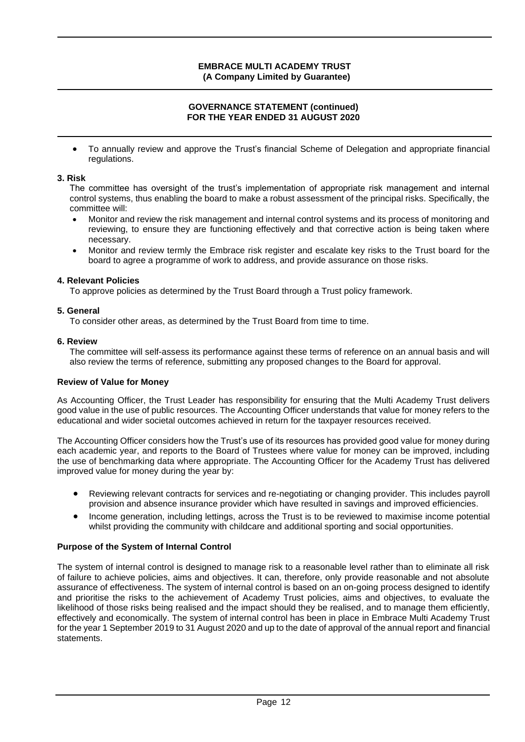### **GOVERNANCE STATEMENT (continued) FOR THE YEAR ENDED 31 AUGUST 2020**

• To annually review and approve the Trust's financial Scheme of Delegation and appropriate financial regulations.

### **3. Risk**

The committee has oversight of the trust's implementation of appropriate risk management and internal control systems, thus enabling the board to make a robust assessment of the principal risks. Specifically, the committee will:

- Monitor and review the risk management and internal control systems and its process of monitoring and reviewing, to ensure they are functioning effectively and that corrective action is being taken where necessary.
- Monitor and review termly the Embrace risk register and escalate key risks to the Trust board for the board to agree a programme of work to address, and provide assurance on those risks.

#### **4. Relevant Policies**

To approve policies as determined by the Trust Board through a Trust policy framework.

#### **5. General**

To consider other areas, as determined by the Trust Board from time to time.

#### **6. Review**

The committee will self-assess its performance against these terms of reference on an annual basis and will also review the terms of reference, submitting any proposed changes to the Board for approval.

### **Review of Value for Money**

As Accounting Officer, the Trust Leader has responsibility for ensuring that the Multi Academy Trust delivers good value in the use of public resources. The Accounting Officer understands that value for money refers to the educational and wider societal outcomes achieved in return for the taxpayer resources received.

The Accounting Officer considers how the Trust's use of its resources has provided good value for money during each academic year, and reports to the Board of Trustees where value for money can be improved, including the use of benchmarking data where appropriate. The Accounting Officer for the Academy Trust has delivered improved value for money during the year by:

- Reviewing relevant contracts for services and re-negotiating or changing provider. This includes payroll provision and absence insurance provider which have resulted in savings and improved efficiencies.
- Income generation, including lettings, across the Trust is to be reviewed to maximise income potential whilst providing the community with childcare and additional sporting and social opportunities.

### **Purpose of the System of Internal Control**

The system of internal control is designed to manage risk to a reasonable level rather than to eliminate all risk of failure to achieve policies, aims and objectives. It can, therefore, only provide reasonable and not absolute assurance of effectiveness. The system of internal control is based on an on-going process designed to identify and prioritise the risks to the achievement of Academy Trust policies, aims and objectives, to evaluate the likelihood of those risks being realised and the impact should they be realised, and to manage them efficiently, effectively and economically. The system of internal control has been in place in Embrace Multi Academy Trust for the year 1 September 2019 to 31 August 2020 and up to the date of approval of the annual report and financial statements.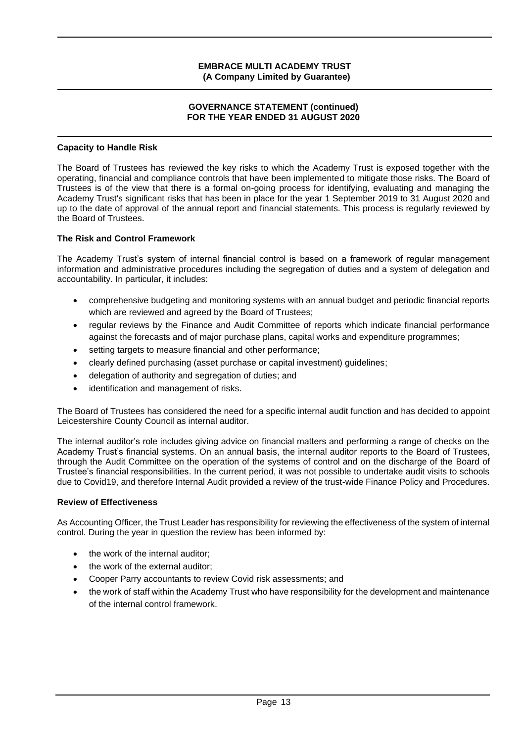#### **GOVERNANCE STATEMENT (continued) FOR THE YEAR ENDED 31 AUGUST 2020**

### **Capacity to Handle Risk**

The Board of Trustees has reviewed the key risks to which the Academy Trust is exposed together with the operating, financial and compliance controls that have been implemented to mitigate those risks. The Board of Trustees is of the view that there is a formal on-going process for identifying, evaluating and managing the Academy Trust's significant risks that has been in place for the year 1 September 2019 to 31 August 2020 and up to the date of approval of the annual report and financial statements. This process is regularly reviewed by the Board of Trustees.

#### **The Risk and Control Framework**

The Academy Trust's system of internal financial control is based on a framework of regular management information and administrative procedures including the segregation of duties and a system of delegation and accountability. In particular, it includes:

- comprehensive budgeting and monitoring systems with an annual budget and periodic financial reports which are reviewed and agreed by the Board of Trustees;
- regular reviews by the Finance and Audit Committee of reports which indicate financial performance against the forecasts and of major purchase plans, capital works and expenditure programmes;
- setting targets to measure financial and other performance;
- clearly defined purchasing (asset purchase or capital investment) guidelines;
- delegation of authority and segregation of duties; and
- identification and management of risks.

The Board of Trustees has considered the need for a specific internal audit function and has decided to appoint Leicestershire County Council as internal auditor.

The internal auditor's role includes giving advice on financial matters and performing a range of checks on the Academy Trust's financial systems. On an annual basis, the internal auditor reports to the Board of Trustees, through the Audit Committee on the operation of the systems of control and on the discharge of the Board of Trustee's financial responsibilities. In the current period, it was not possible to undertake audit visits to schools due to Covid19, and therefore Internal Audit provided a review of the trust-wide Finance Policy and Procedures.

#### **Review of Effectiveness**

As Accounting Officer, the Trust Leader has responsibility for reviewing the effectiveness of the system of internal control. During the year in question the review has been informed by:

- the work of the internal auditor;
- the work of the external auditor:
- Cooper Parry accountants to review Covid risk assessments; and
- the work of staff within the Academy Trust who have responsibility for the development and maintenance of the internal control framework.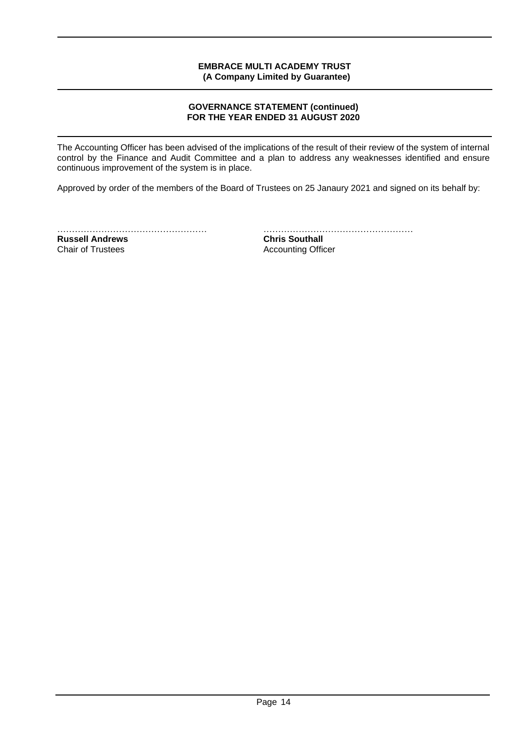### **GOVERNANCE STATEMENT (continued) FOR THE YEAR ENDED 31 AUGUST 2020**

The Accounting Officer has been advised of the implications of the result of their review of the system of internal control by the Finance and Audit Committee and a plan to address any weaknesses identified and ensure continuous improvement of the system is in place.

Approved by order of the members of the Board of Trustees on 25 Janaury 2021 and signed on its behalf by:

**Russell Andrews**<br>
Chris Southall<br>
Chair of Trustees<br>
Chris Accounting Office

…………………………………………… ……………………………………………

**Accounting Officer**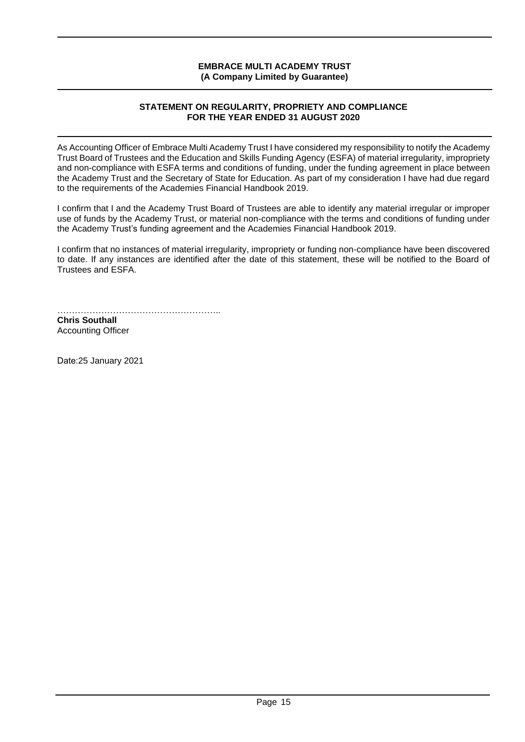### **STATEMENT ON REGULARITY, PROPRIETY AND COMPLIANCE FOR THE YEAR ENDED 31 AUGUST 2020**

As Accounting Officer of Embrace Multi Academy Trust I have considered my responsibility to notify the Academy Trust Board of Trustees and the Education and Skills Funding Agency (ESFA) of material irregularity, impropriety and non-compliance with ESFA terms and conditions of funding, under the funding agreement in place between the Academy Trust and the Secretary of State for Education. As part of my consideration I have had due regard to the requirements of the Academies Financial Handbook 2019.

I confirm that I and the Academy Trust Board of Trustees are able to identify any material irregular or improper use of funds by the Academy Trust, or material non-compliance with the terms and conditions of funding under the Academy Trust's funding agreement and the Academies Financial Handbook 2019.

I confirm that no instances of material irregularity, impropriety or funding non-compliance have been discovered to date. If any instances are identified after the date of this statement, these will be notified to the Board of Trustees and ESFA.

……………………………………………….. **Chris Southall** 

Accounting Officer

Date:25 January 2021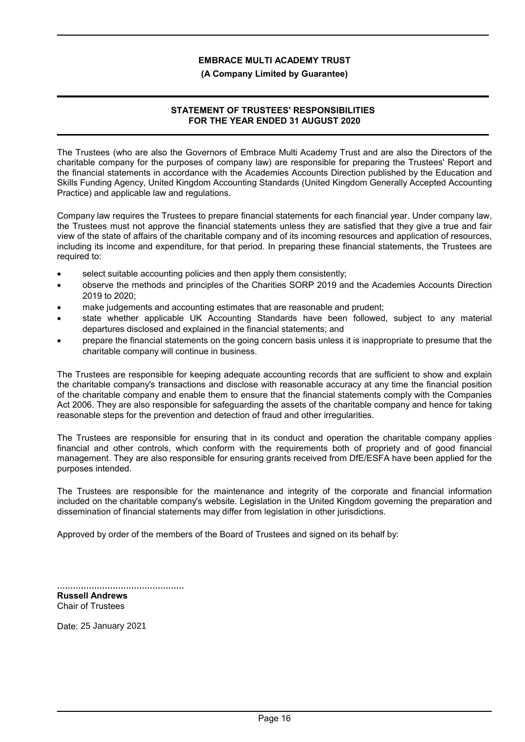#### **(A Company Limited by Guarantee)**

## **STATEMENT OF TRUSTEES' RESPONSIBILITIES FOR THE YEAR ENDED 31 AUGUST 2020**

The Trustees (who are also the Governors of Embrace Multi Academy Trust and are also the Directors of the charitable company for the purposes of company law) are responsible for preparing the Trustees' Report and the financial statements in accordance with the Academies Accounts Direction published by the Education and Skills Funding Agency, United Kingdom Accounting Standards (United Kingdom Generally Accepted Accounting Practice) and applicable law and regulations.

Company law requires the Trustees to prepare financial statements for each financial year. Under company law, the Trustees must not approve the financial statements unless they are satisfied that they give a true and fair view of the state of affairs of the charitable company and of its incoming resources and application of resources, including its income and expenditure, for that period. In preparing these financial statements, the Trustees are required to:

- select suitable accounting policies and then apply them consistently;
- observe the methods and principles of the Charities SORP 2019 and the Academies Accounts Direction 2019 to 2020;
- make judgements and accounting estimates that are reasonable and prudent;
- state whether applicable UK Accounting Standards have been followed, subject to any material departures disclosed and explained in the financial statements; and
- prepare the financial statements on the going concern basis unless it is inappropriate to presume that the charitable company will continue in business.

The Trustees are responsible for keeping adequate accounting records that are sufficient to show and explain the charitable company's transactions and disclose with reasonable accuracy at any time the financial position of the charitable company and enable them to ensure that the financial statements comply with the Companies Act 2006. They are also responsible for safeguarding the assets of the charitable company and hence for taking reasonable steps for the prevention and detection of fraud and other irregularities.

The Trustees are responsible for ensuring that in its conduct and operation the charitable company applies financial and other controls, which conform with the requirements both of propriety and of good financial management. They are also responsible for ensuring grants received from DfE/ESFA have been applied for the purposes intended.

The Trustees are responsible for the maintenance and integrity of the corporate and financial information included on the charitable company's website. Legislation in the United Kingdom governing the preparation and dissemination of financial statements may differ from legislation in other jurisdictions.

Approved by order of the members of the Board of Trustees and signed on its behalf by:

................................................ **Russell Andrews** Chair of Trustees

Date: 25 January 2021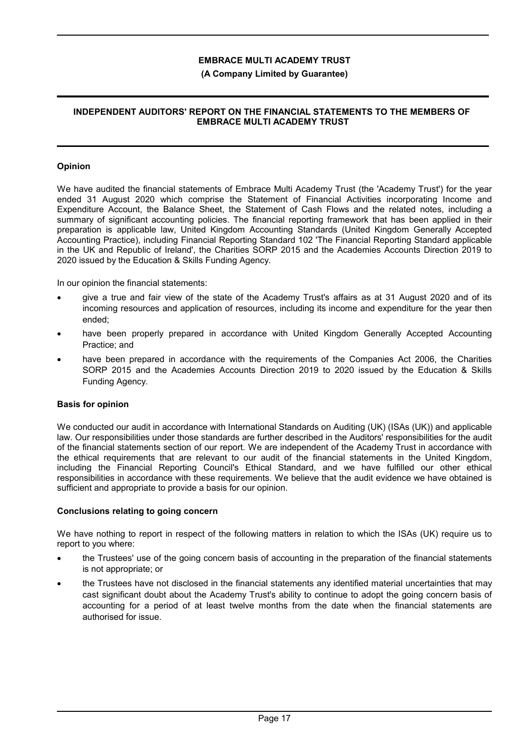### **(A Company Limited by Guarantee)**

### **INDEPENDENT AUDITORS' REPORT ON THE FINANCIAL STATEMENTS TO THE MEMBERS OF EMBRACE MULTI ACADEMY TRUST**

### **Opinion**

We have audited the financial statements of Embrace Multi Academy Trust (the 'Academy Trust') for the year ended 31 August 2020 which comprise the Statement of Financial Activities incorporating Income and Expenditure Account, the Balance Sheet, the Statement of Cash Flows and the related notes, including a summary of significant accounting policies. The financial reporting framework that has been applied in their preparation is applicable law, United Kingdom Accounting Standards (United Kingdom Generally Accepted Accounting Practice), including Financial Reporting Standard 102 'The Financial Reporting Standard applicable in the UK and Republic of Ireland', the Charities SORP 2015 and the Academies Accounts Direction 2019 to 2020 issued by the Education & Skills Funding Agency.

In our opinion the financial statements:

- give a true and fair view of the state of the Academy Trust's affairs as at 31 August 2020 and of its incoming resources and application of resources, including its income and expenditure for the year then ended;
- have been properly prepared in accordance with United Kingdom Generally Accepted Accounting Practice; and
- have been prepared in accordance with the requirements of the Companies Act 2006, the Charities SORP 2015 and the Academies Accounts Direction 2019 to 2020 issued by the Education & Skills Funding Agency.

### **Basis for opinion**

We conducted our audit in accordance with International Standards on Auditing (UK) (ISAs (UK)) and applicable law. Our responsibilities under those standards are further described in the Auditors' responsibilities for the audit of the financial statements section of our report. We are independent of the Academy Trust in accordance with the ethical requirements that are relevant to our audit of the financial statements in the United Kingdom, including the Financial Reporting Council's Ethical Standard, and we have fulfilled our other ethical responsibilities in accordance with these requirements. We believe that the audit evidence we have obtained is sufficient and appropriate to provide a basis for our opinion.

### **Conclusions relating to going concern**

We have nothing to report in respect of the following matters in relation to which the ISAs (UK) require us to report to you where:

- the Trustees' use of the going concern basis of accounting in the preparation of the financial statements is not appropriate; or
- the Trustees have not disclosed in the financial statements any identified material uncertainties that may cast significant doubt about the Academy Trust's ability to continue to adopt the going concern basis of accounting for a period of at least twelve months from the date when the financial statements are authorised for issue.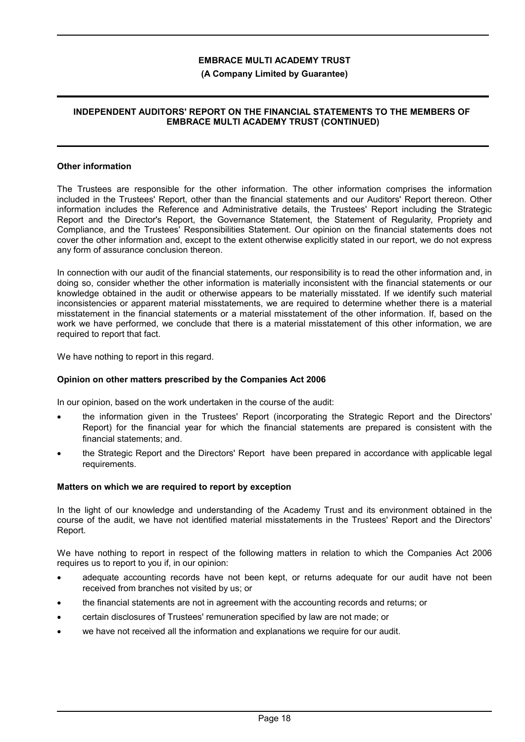#### **(A Company Limited by Guarantee)**

### **INDEPENDENT AUDITORS' REPORT ON THE FINANCIAL STATEMENTS TO THE MEMBERS OF EMBRACE MULTI ACADEMY TRUST (CONTINUED)**

#### **Other information**

The Trustees are responsible for the other information. The other information comprises the information included in the Trustees' Report, other than the financial statements and our Auditors' Report thereon. Other information includes the Reference and Administrative details, the Trustees' Report including the Strategic Report and the Director's Report, the Governance Statement, the Statement of Regularity, Propriety and Compliance, and the Trustees' Responsibilities Statement. Our opinion on the financial statements does not cover the other information and, except to the extent otherwise explicitly stated in our report, we do not express any form of assurance conclusion thereon.

In connection with our audit of the financial statements, our responsibility is to read the other information and, in doing so, consider whether the other information is materially inconsistent with the financial statements or our knowledge obtained in the audit or otherwise appears to be materially misstated. If we identify such material inconsistencies or apparent material misstatements, we are required to determine whether there is a material misstatement in the financial statements or a material misstatement of the other information. If, based on the work we have performed, we conclude that there is a material misstatement of this other information, we are required to report that fact.

We have nothing to report in this regard.

#### **Opinion on other matters prescribed by the Companies Act 2006**

In our opinion, based on the work undertaken in the course of the audit:

- the information given in the Trustees' Report (incorporating the Strategic Report and the Directors' Report) for the financial year for which the financial statements are prepared is consistent with the financial statements; and.
- the Strategic Report and the Directors' Report have been prepared in accordance with applicable legal requirements.

#### **Matters on which we are required to report by exception**

In the light of our knowledge and understanding of the Academy Trust and its environment obtained in the course of the audit, we have not identified material misstatements in the Trustees' Report and the Directors' Report.

We have nothing to report in respect of the following matters in relation to which the Companies Act 2006 requires us to report to you if, in our opinion:

- adequate accounting records have not been kept, or returns adequate for our audit have not been received from branches not visited by us; or
- the financial statements are not in agreement with the accounting records and returns; or
- certain disclosures of Trustees' remuneration specified by law are not made; or
- we have not received all the information and explanations we require for our audit.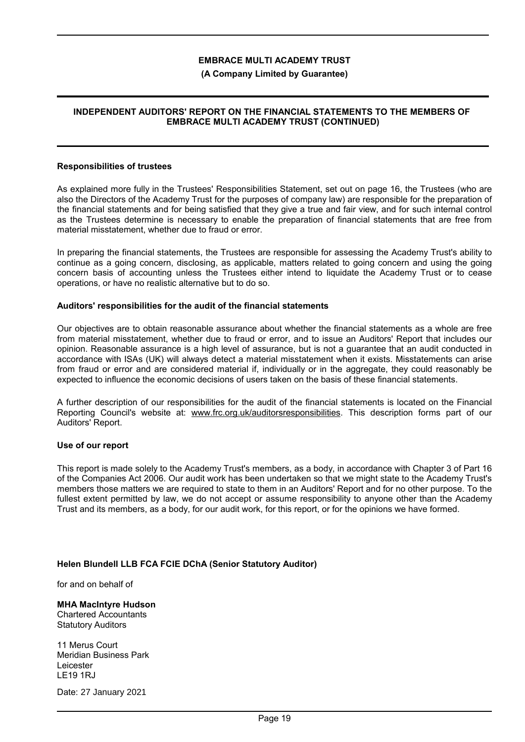#### **(A Company Limited by Guarantee)**

### **INDEPENDENT AUDITORS' REPORT ON THE FINANCIAL STATEMENTS TO THE MEMBERS OF EMBRACE MULTI ACADEMY TRUST (CONTINUED)**

#### **Responsibilities of trustees**

As explained more fully in the Trustees' Responsibilities Statement, set out on page 16, the Trustees (who are also the Directors of the Academy Trust for the purposes of company law) are responsible for the preparation of the financial statements and for being satisfied that they give a true and fair view, and for such internal control as the Trustees determine is necessary to enable the preparation of financial statements that are free from material misstatement, whether due to fraud or error.

In preparing the financial statements, the Trustees are responsible for assessing the Academy Trust's ability to continue as a going concern, disclosing, as applicable, matters related to going concern and using the going concern basis of accounting unless the Trustees either intend to liquidate the Academy Trust or to cease operations, or have no realistic alternative but to do so.

#### **Auditors' responsibilities for the audit of the financial statements**

Our objectives are to obtain reasonable assurance about whether the financial statements as a whole are free from material misstatement, whether due to fraud or error, and to issue an Auditors' Report that includes our opinion. Reasonable assurance is a high level of assurance, but is not a guarantee that an audit conducted in accordance with ISAs (UK) will always detect a material misstatement when it exists. Misstatements can arise from fraud or error and are considered material if, individually or in the aggregate, they could reasonably be expected to influence the economic decisions of users taken on the basis of these financial statements.

A further description of our responsibilities for the audit of the financial statements is located on the Financial Reporting Council's website at: www.frc.org.uk/auditorsresponsibilities. This description forms part of our Auditors' Report.

#### **Use of our report**

This report is made solely to the Academy Trust's members, as a body, in accordance with Chapter 3 of Part 16 of the Companies Act 2006. Our audit work has been undertaken so that we might state to the Academy Trust's members those matters we are required to state to them in an Auditors' Report and for no other purpose. To the fullest extent permitted by law, we do not accept or assume responsibility to anyone other than the Academy Trust and its members, as a body, for our audit work, for this report, or for the opinions we have formed.

#### **Helen Blundell LLB FCA FCIE DChA (Senior Statutory Auditor)**

for and on behalf of

# **MHA MacIntyre Hudson**

Chartered Accountants Statutory Auditors

11 Merus Court Meridian Business Park Leicester LE19 1RJ

Date: 27 January 2021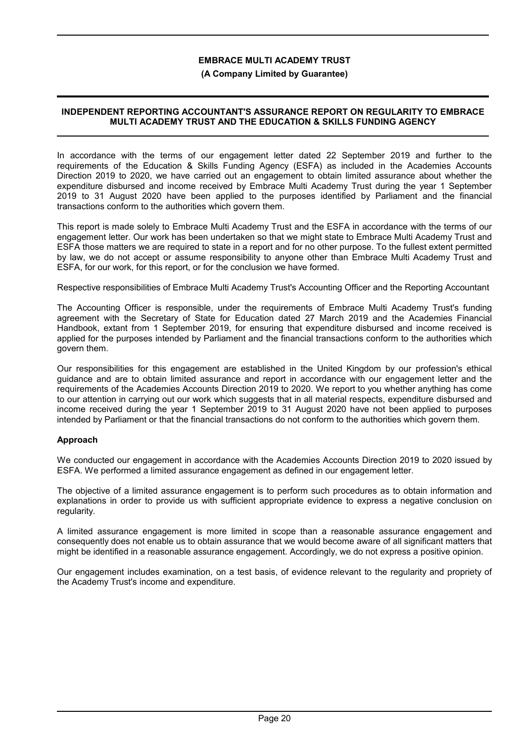#### **(A Company Limited by Guarantee)**

### **INDEPENDENT REPORTING ACCOUNTANT'S ASSURANCE REPORT ON REGULARITY TO EMBRACE MULTI ACADEMY TRUST AND THE EDUCATION & SKILLS FUNDING AGENCY**

In accordance with the terms of our engagement letter dated 22 September 2019 and further to the requirements of the Education & Skills Funding Agency (ESFA) as included in the Academies Accounts Direction 2019 to 2020, we have carried out an engagement to obtain limited assurance about whether the expenditure disbursed and income received by Embrace Multi Academy Trust during the year 1 September 2019 to 31 August 2020 have been applied to the purposes identified by Parliament and the financial transactions conform to the authorities which govern them.

This report is made solely to Embrace Multi Academy Trust and the ESFA in accordance with the terms of our engagement letter. Our work has been undertaken so that we might state to Embrace Multi Academy Trust and ESFA those matters we are required to state in a report and for no other purpose. To the fullest extent permitted by law, we do not accept or assume responsibility to anyone other than Embrace Multi Academy Trust and ESFA, for our work, for this report, or for the conclusion we have formed.

Respective responsibilities of Embrace Multi Academy Trust's Accounting Officer and the Reporting Accountant

The Accounting Officer is responsible, under the requirements of Embrace Multi Academy Trust's funding agreement with the Secretary of State for Education dated 27 March 2019 and the Academies Financial Handbook, extant from 1 September 2019, for ensuring that expenditure disbursed and income received is applied for the purposes intended by Parliament and the financial transactions conform to the authorities which govern them.

Our responsibilities for this engagement are established in the United Kingdom by our profession's ethical guidance and are to obtain limited assurance and report in accordance with our engagement letter and the requirements of the Academies Accounts Direction 2019 to 2020. We report to you whether anything has come to our attention in carrying out our work which suggests that in all material respects, expenditure disbursed and income received during the year 1 September 2019 to 31 August 2020 have not been applied to purposes intended by Parliament or that the financial transactions do not conform to the authorities which govern them.

### **Approach**

We conducted our engagement in accordance with the Academies Accounts Direction 2019 to 2020 issued by ESFA. We performed a limited assurance engagement as defined in our engagement letter.

The objective of a limited assurance engagement is to perform such procedures as to obtain information and explanations in order to provide us with sufficient appropriate evidence to express a negative conclusion on regularity.

A limited assurance engagement is more limited in scope than a reasonable assurance engagement and consequently does not enable us to obtain assurance that we would become aware of all significant matters that might be identified in a reasonable assurance engagement. Accordingly, we do not express a positive opinion.

Our engagement includes examination, on a test basis, of evidence relevant to the regularity and propriety of the Academy Trust's income and expenditure.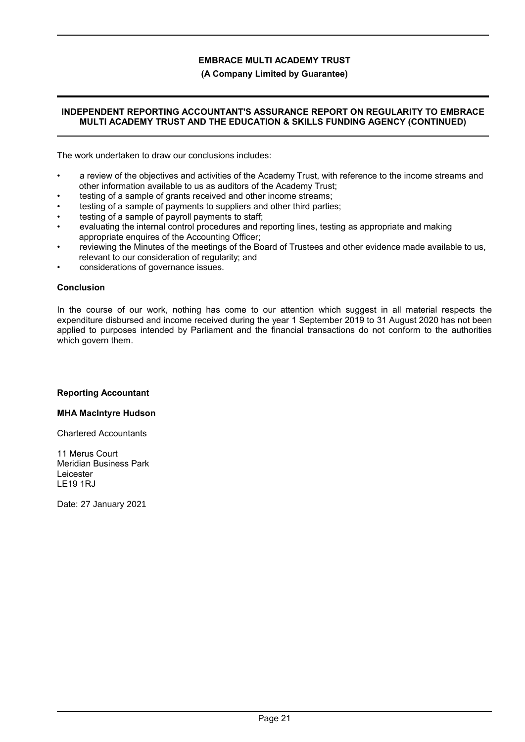### **(A Company Limited by Guarantee)**

### **INDEPENDENT REPORTING ACCOUNTANT'S ASSURANCE REPORT ON REGULARITY TO EMBRACE MULTI ACADEMY TRUST AND THE EDUCATION & SKILLS FUNDING AGENCY (CONTINUED)**

The work undertaken to draw our conclusions includes:

- a review of the objectives and activities of the Academy Trust, with reference to the income streams and other information available to us as auditors of the Academy Trust;
- testing of a sample of grants received and other income streams;
- testing of a sample of payments to suppliers and other third parties;
- testing of a sample of payroll payments to staff;
- evaluating the internal control procedures and reporting lines, testing as appropriate and making appropriate enquires of the Accounting Officer;
- reviewing the Minutes of the meetings of the Board of Trustees and other evidence made available to us, relevant to our consideration of regularity; and
- considerations of governance issues.

### **Conclusion**

In the course of our work, nothing has come to our attention which suggest in all material respects the expenditure disbursed and income received during the year 1 September 2019 to 31 August 2020 has not been applied to purposes intended by Parliament and the financial transactions do not conform to the authorities which govern them.

### **Reporting Accountant**

#### **MHA MacIntyre Hudson**

Chartered Accountants

11 Merus Court Meridian Business Park Leicester LE19 1RJ

Date: 27 January 2021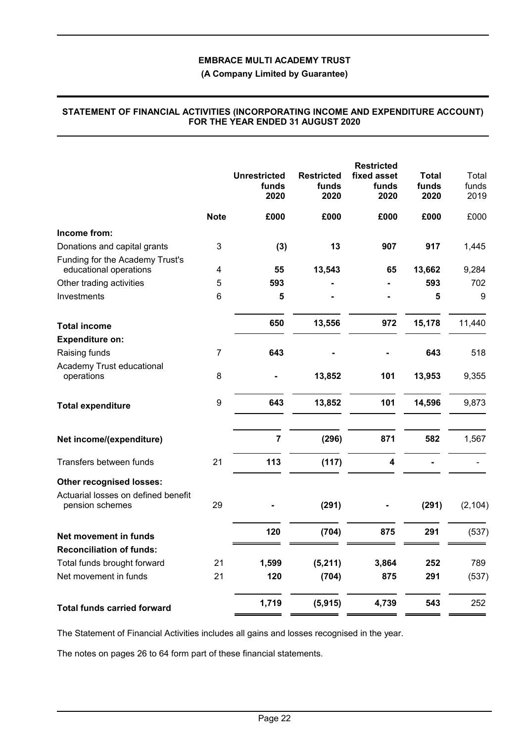**(A Company Limited by Guarantee)**

## **STATEMENT OF FINANCIAL ACTIVITIES (INCORPORATING INCOME AND EXPENDITURE ACCOUNT) FOR THE YEAR ENDED 31 AUGUST 2020**

|                                                        |                | <b>Unrestricted</b><br>funds<br>2020 | <b>Restricted</b><br>funds<br>2020 | <b>Restricted</b><br>fixed asset<br>funds<br>2020 | Total<br>funds<br>2020 | Total<br>funds<br>2019 |
|--------------------------------------------------------|----------------|--------------------------------------|------------------------------------|---------------------------------------------------|------------------------|------------------------|
|                                                        | <b>Note</b>    | £000                                 | £000                               | £000                                              | £000                   | £000                   |
| Income from:                                           |                |                                      |                                    |                                                   |                        |                        |
| Donations and capital grants                           | 3              | (3)                                  | 13                                 | 907                                               | 917                    | 1,445                  |
| Funding for the Academy Trust's                        |                |                                      |                                    |                                                   |                        |                        |
| educational operations                                 | 4              | 55                                   | 13,543                             | 65                                                | 13,662                 | 9,284                  |
| Other trading activities                               | 5              | 593                                  |                                    |                                                   | 593                    | 702                    |
| Investments                                            | 6              | 5                                    |                                    |                                                   | 5                      | 9                      |
| <b>Total income</b>                                    |                | 650                                  | 13,556                             | 972                                               | 15,178                 | 11,440                 |
| <b>Expenditure on:</b>                                 |                |                                      |                                    |                                                   |                        |                        |
| Raising funds                                          | $\overline{7}$ | 643                                  |                                    |                                                   | 643                    | 518                    |
| Academy Trust educational                              |                |                                      |                                    |                                                   |                        |                        |
| operations                                             | 8              |                                      | 13,852                             | 101                                               | 13,953                 | 9,355                  |
| <b>Total expenditure</b>                               | 9              | 643                                  | 13,852                             | 101                                               | 14,596                 | 9,873                  |
| Net income/(expenditure)                               |                | $\overline{7}$                       | (296)                              | 871                                               | 582                    | 1,567                  |
| Transfers between funds                                | 21             | 113                                  | (117)                              | $\overline{\mathbf{4}}$                           |                        |                        |
| Other recognised losses:                               |                |                                      |                                    |                                                   |                        |                        |
| Actuarial losses on defined benefit<br>pension schemes | 29             |                                      | (291)                              |                                                   | (291)                  | (2, 104)               |
| Net movement in funds                                  |                | 120                                  | (704)                              | 875                                               | 291                    | (537)                  |
| <b>Reconciliation of funds:</b>                        |                |                                      |                                    |                                                   |                        |                        |
| Total funds brought forward                            | 21             | 1,599                                | (5, 211)                           | 3,864                                             | 252                    | 789                    |
| Net movement in funds                                  | 21             | 120                                  | (704)                              | 875                                               | 291                    | (537)                  |
| <b>Total funds carried forward</b>                     |                | 1,719                                | (5, 915)                           | 4,739                                             | 543                    | 252                    |
|                                                        |                |                                      |                                    |                                                   |                        |                        |

The Statement of Financial Activities includes all gains and losses recognised in the year.

The notes on pages 26 to 64 form part of these financial statements.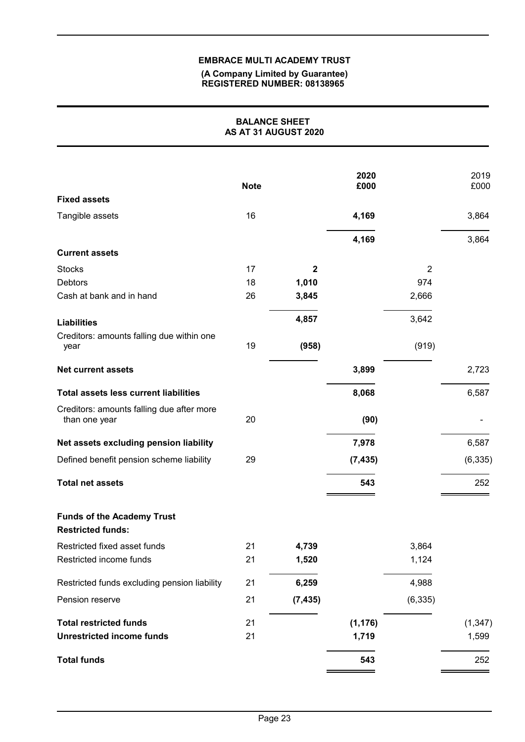#### **(A Company Limited by Guarantee) REGISTERED NUMBER: 08138965**

| <b>BALANCE SHEET</b><br>AS AT 31 AUGUST 2020                  |             |              |              |          |              |
|---------------------------------------------------------------|-------------|--------------|--------------|----------|--------------|
| <b>Fixed assets</b>                                           | <b>Note</b> |              | 2020<br>£000 |          | 2019<br>£000 |
| Tangible assets                                               | 16          |              | 4,169        |          | 3,864        |
|                                                               |             |              | 4,169        |          | 3,864        |
| <b>Current assets</b>                                         |             |              |              |          |              |
| <b>Stocks</b>                                                 | 17          | $\mathbf{2}$ |              | 2        |              |
| <b>Debtors</b>                                                | 18          | 1,010        |              | 974      |              |
| Cash at bank and in hand                                      | 26          | 3,845        |              | 2,666    |              |
| <b>Liabilities</b>                                            |             | 4,857        |              | 3,642    |              |
| Creditors: amounts falling due within one<br>year             | 19          | (958)        |              | (919)    |              |
| <b>Net current assets</b>                                     |             |              | 3,899        |          | 2,723        |
| <b>Total assets less current liabilities</b>                  |             |              | 8,068        |          | 6,587        |
| Creditors: amounts falling due after more<br>than one year    | 20          |              | (90)         |          |              |
| Net assets excluding pension liability                        |             |              | 7,978        |          | 6,587        |
| Defined benefit pension scheme liability                      | 29          |              | (7, 435)     |          | (6, 335)     |
| <b>Total net assets</b>                                       |             |              | 543          |          | 252          |
| <b>Funds of the Academy Trust</b><br><b>Restricted funds:</b> |             |              |              |          |              |
| Restricted fixed asset funds                                  | 21          | 4,739        |              | 3,864    |              |
| Restricted income funds                                       | 21          | 1,520        |              | 1,124    |              |
| Restricted funds excluding pension liability                  | 21          | 6,259        |              | 4,988    |              |
| Pension reserve                                               | 21          | (7, 435)     |              | (6, 335) |              |
| <b>Total restricted funds</b>                                 | 21          |              | (1, 176)     |          | (1, 347)     |
| <b>Unrestricted income funds</b>                              | 21          |              | 1,719        |          | 1,599        |
| <b>Total funds</b>                                            |             |              | 543          |          | 252          |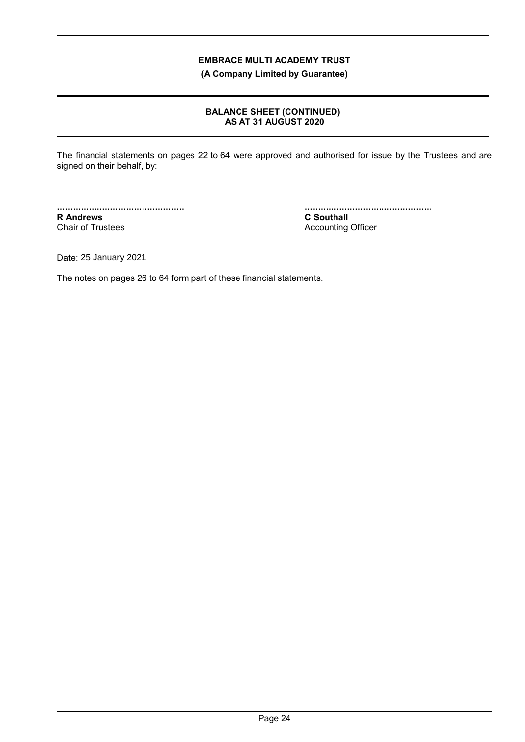**(A Company Limited by Guarantee)**

# **BALANCE SHEET (CONTINUED) AS AT 31 AUGUST 2020**

The financial statements on pages 22 to 64 were approved and authorised for issue by the Trustees and are signed on their behalf, by:

................................................ **R Andrews** Chair of Trustees

................................................ **C Southall**

Accounting Officer

Date: 25 January 2021

The notes on pages 26 to 64 form part of these financial statements.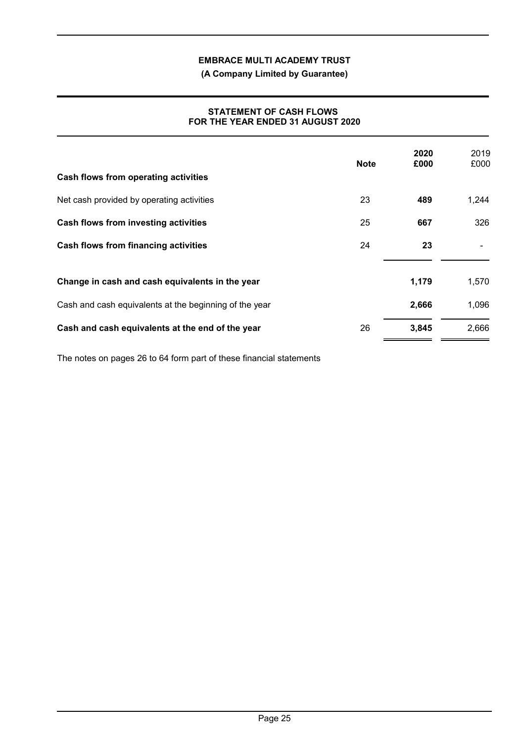**(A Company Limited by Guarantee)**

## **STATEMENT OF CASH FLOWS FOR THE YEAR ENDED 31 AUGUST 2020**

| Cash flows from operating activities                   | <b>Note</b> | 2020<br>£000 | 2019<br>£000 |
|--------------------------------------------------------|-------------|--------------|--------------|
| Net cash provided by operating activities              | 23          | 489          | 1,244        |
| Cash flows from investing activities                   | 25          | 667          | 326          |
| Cash flows from financing activities                   | 24          | 23           |              |
| Change in cash and cash equivalents in the year        |             | 1,179        | 1,570        |
| Cash and cash equivalents at the beginning of the year |             | 2,666        | 1,096        |
| Cash and cash equivalents at the end of the year       | 26          | 3,845        | 2,666        |

The notes on pages 26 to 64 form part of these financial statements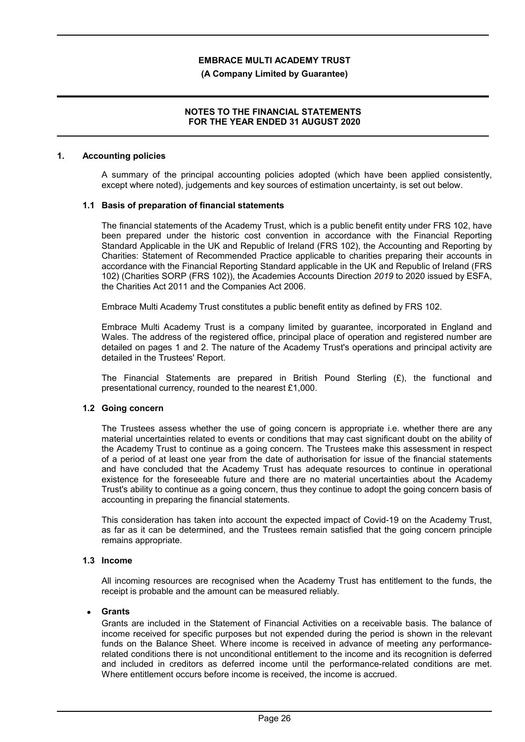#### **(A Company Limited by Guarantee)**

### **NOTES TO THE FINANCIAL STATEMENTS FOR THE YEAR ENDED 31 AUGUST 2020**

#### **1. Accounting policies**

A summary of the principal accounting policies adopted (which have been applied consistently, except where noted), judgements and key sources of estimation uncertainty, is set out below.

#### **1.1 Basis of preparation of financial statements**

The financial statements of the Academy Trust, which is a public benefit entity under FRS 102, have been prepared under the historic cost convention in accordance with the Financial Reporting Standard Applicable in the UK and Republic of Ireland (FRS 102), the Accounting and Reporting by Charities: Statement of Recommended Practice applicable to charities preparing their accounts in accordance with the Financial Reporting Standard applicable in the UK and Republic of Ireland (FRS 102) (Charities SORP (FRS 102)), the Academies Accounts Direction *2019* to 2020 issued by ESFA, the Charities Act 2011 and the Companies Act 2006.

Embrace Multi Academy Trust constitutes a public benefit entity as defined by FRS 102.

Embrace Multi Academy Trust is a company limited by guarantee, incorporated in England and Wales. The address of the registered office, principal place of operation and registered number are detailed on pages 1 and 2. The nature of the Academy Trust's operations and principal activity are detailed in the Trustees' Report.

The Financial Statements are prepared in British Pound Sterling  $(E)$ , the functional and presentational currency, rounded to the nearest £1,000.

### **1.2 Going concern**

The Trustees assess whether the use of going concern is appropriate i.e. whether there are any material uncertainties related to events or conditions that may cast significant doubt on the ability of the Academy Trust to continue as a going concern. The Trustees make this assessment in respect of a period of at least one year from the date of authorisation for issue of the financial statements and have concluded that the Academy Trust has adequate resources to continue in operational existence for the foreseeable future and there are no material uncertainties about the Academy Trust's ability to continue as a going concern, thus they continue to adopt the going concern basis of accounting in preparing the financial statements.

This consideration has taken into account the expected impact of Covid-19 on the Academy Trust, as far as it can be determined, and the Trustees remain satisfied that the going concern principle remains appropriate.

### **1.3 Income**

All incoming resources are recognised when the Academy Trust has entitlement to the funds, the receipt is probable and the amount can be measured reliably.

#### **Grants**

Grants are included in the Statement of Financial Activities on a receivable basis. The balance of income received for specific purposes but not expended during the period is shown in the relevant funds on the Balance Sheet. Where income is received in advance of meeting any performancerelated conditions there is not unconditional entitlement to the income and its recognition is deferred and included in creditors as deferred income until the performance-related conditions are met. Where entitlement occurs before income is received, the income is accrued.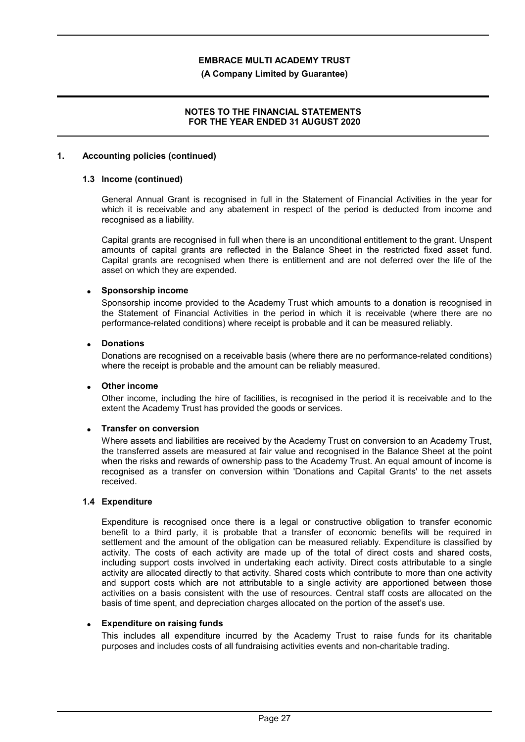#### **(A Company Limited by Guarantee)**

### **NOTES TO THE FINANCIAL STATEMENTS FOR THE YEAR ENDED 31 AUGUST 2020**

#### **1. Accounting policies (continued)**

#### **1.3 Income (continued)**

General Annual Grant is recognised in full in the Statement of Financial Activities in the year for which it is receivable and any abatement in respect of the period is deducted from income and recognised as a liability.

Capital grants are recognised in full when there is an unconditional entitlement to the grant. Unspent amounts of capital grants are reflected in the Balance Sheet in the restricted fixed asset fund. Capital grants are recognised when there is entitlement and are not deferred over the life of the asset on which they are expended.

#### **Sponsorship income**

Sponsorship income provided to the Academy Trust which amounts to a donation is recognised in the Statement of Financial Activities in the period in which it is receivable (where there are no performance-related conditions) where receipt is probable and it can be measured reliably.

#### **Donations**

Donations are recognised on a receivable basis (where there are no performance-related conditions) where the receipt is probable and the amount can be reliably measured.

#### **Other income**

Other income, including the hire of facilities, is recognised in the period it is receivable and to the extent the Academy Trust has provided the goods or services.

#### **Transfer on conversion**

Where assets and liabilities are received by the Academy Trust on conversion to an Academy Trust, the transferred assets are measured at fair value and recognised in the Balance Sheet at the point when the risks and rewards of ownership pass to the Academy Trust. An equal amount of income is recognised as a transfer on conversion within 'Donations and Capital Grants' to the net assets received.

#### **1.4 Expenditure**

Expenditure is recognised once there is a legal or constructive obligation to transfer economic benefit to a third party, it is probable that a transfer of economic benefits will be required in settlement and the amount of the obligation can be measured reliably. Expenditure is classified by activity. The costs of each activity are made up of the total of direct costs and shared costs, including support costs involved in undertaking each activity. Direct costs attributable to a single activity are allocated directly to that activity. Shared costs which contribute to more than one activity and support costs which are not attributable to a single activity are apportioned between those activities on a basis consistent with the use of resources. Central staff costs are allocated on the basis of time spent, and depreciation charges allocated on the portion of the asset's use.

### **Expenditure on raising funds**

This includes all expenditure incurred by the Academy Trust to raise funds for its charitable purposes and includes costs of all fundraising activities events and non-charitable trading.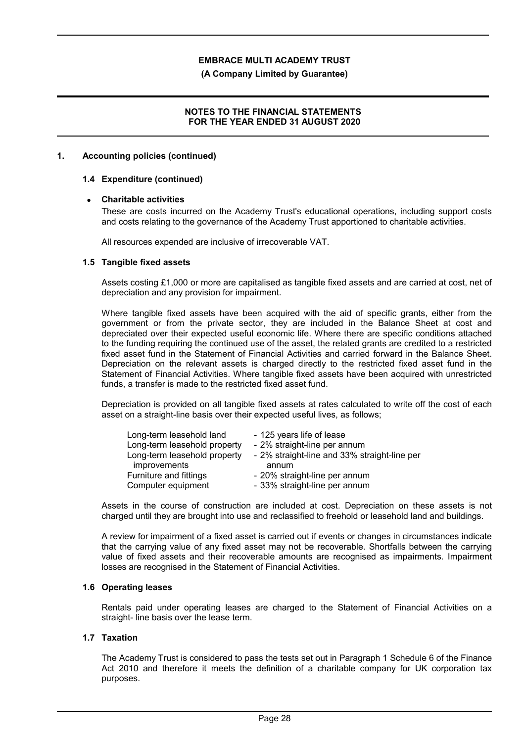**(A Company Limited by Guarantee)**

### **NOTES TO THE FINANCIAL STATEMENTS FOR THE YEAR ENDED 31 AUGUST 2020**

#### **1. Accounting policies (continued)**

### **1.4 Expenditure (continued)**

### **Charitable activities**

These are costs incurred on the Academy Trust's educational operations, including support costs and costs relating to the governance of the Academy Trust apportioned to charitable activities.

All resources expended are inclusive of irrecoverable VAT.

### **1.5 Tangible fixed assets**

Assets costing £1,000 or more are capitalised as tangible fixed assets and are carried at cost, net of depreciation and any provision for impairment.

Where tangible fixed assets have been acquired with the aid of specific grants, either from the government or from the private sector, they are included in the Balance Sheet at cost and depreciated over their expected useful economic life. Where there are specific conditions attached to the funding requiring the continued use of the asset, the related grants are credited to a restricted fixed asset fund in the Statement of Financial Activities and carried forward in the Balance Sheet. Depreciation on the relevant assets is charged directly to the restricted fixed asset fund in the Statement of Financial Activities. Where tangible fixed assets have been acquired with unrestricted funds, a transfer is made to the restricted fixed asset fund.

Depreciation is provided on all tangible fixed assets at rates calculated to write off the cost of each asset on a straight-line basis over their expected useful lives, as follows;

| Long-term leasehold land     | - 125 years life of lease                    |
|------------------------------|----------------------------------------------|
| Long-term leasehold property | - 2% straight-line per annum                 |
| Long-term leasehold property | - 2% straight-line and 33% straight-line per |
| <i>improvements</i>          | annum                                        |
| Furniture and fittings       | - 20% straight-line per annum                |
| Computer equipment           | - 33% straight-line per annum                |

Assets in the course of construction are included at cost. Depreciation on these assets is not charged until they are brought into use and reclassified to freehold or leasehold land and buildings.

A review for impairment of a fixed asset is carried out if events or changes in circumstances indicate that the carrying value of any fixed asset may not be recoverable. Shortfalls between the carrying value of fixed assets and their recoverable amounts are recognised as impairments. Impairment losses are recognised in the Statement of Financial Activities.

#### **1.6 Operating leases**

Rentals paid under operating leases are charged to the Statement of Financial Activities on a straight- line basis over the lease term.

# **1.7 Taxation**

The Academy Trust is considered to pass the tests set out in Paragraph 1 Schedule 6 of the Finance Act 2010 and therefore it meets the definition of a charitable company for UK corporation tax purposes.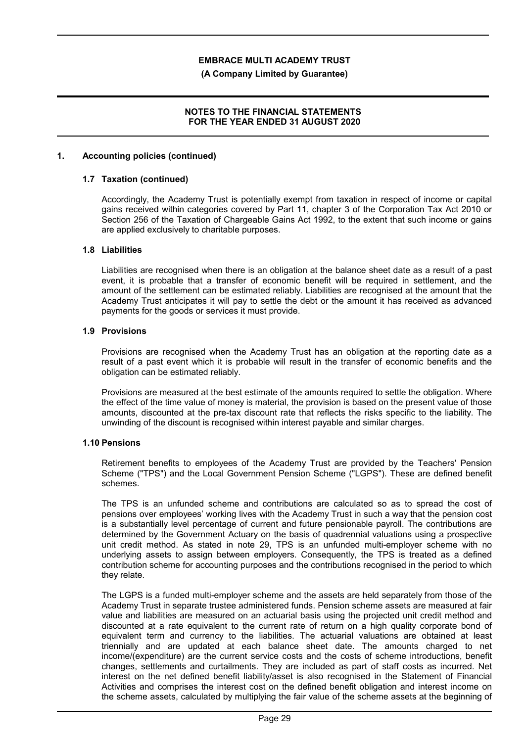#### **(A Company Limited by Guarantee)**

### **NOTES TO THE FINANCIAL STATEMENTS FOR THE YEAR ENDED 31 AUGUST 2020**

#### **1. Accounting policies (continued)**

#### **1.7 Taxation (continued)**

Accordingly, the Academy Trust is potentially exempt from taxation in respect of income or capital gains received within categories covered by Part 11, chapter 3 of the Corporation Tax Act 2010 or Section 256 of the Taxation of Chargeable Gains Act 1992, to the extent that such income or gains are applied exclusively to charitable purposes.

#### **1.8 Liabilities**

Liabilities are recognised when there is an obligation at the balance sheet date as a result of a past event, it is probable that a transfer of economic benefit will be required in settlement, and the amount of the settlement can be estimated reliably. Liabilities are recognised at the amount that the Academy Trust anticipates it will pay to settle the debt or the amount it has received as advanced payments for the goods or services it must provide.

#### **1.9 Provisions**

Provisions are recognised when the Academy Trust has an obligation at the reporting date as a result of a past event which it is probable will result in the transfer of economic benefits and the obligation can be estimated reliably.

Provisions are measured at the best estimate of the amounts required to settle the obligation. Where the effect of the time value of money is material, the provision is based on the present value of those amounts, discounted at the pre-tax discount rate that reflects the risks specific to the liability. The unwinding of the discount is recognised within interest payable and similar charges.

#### **1.10 Pensions**

Retirement benefits to employees of the Academy Trust are provided by the Teachers' Pension Scheme ("TPS") and the Local Government Pension Scheme ("LGPS"). These are defined benefit schemes.

The TPS is an unfunded scheme and contributions are calculated so as to spread the cost of pensions over employees' working lives with the Academy Trust in such a way that the pension cost is a substantially level percentage of current and future pensionable payroll. The contributions are determined by the Government Actuary on the basis of quadrennial valuations using a prospective unit credit method. As stated in note 29, TPS is an unfunded multi-employer scheme with no underlying assets to assign between employers. Consequently, the TPS is treated as a defined contribution scheme for accounting purposes and the contributions recognised in the period to which they relate.

The LGPS is a funded multi-employer scheme and the assets are held separately from those of the Academy Trust in separate trustee administered funds. Pension scheme assets are measured at fair value and liabilities are measured on an actuarial basis using the projected unit credit method and discounted at a rate equivalent to the current rate of return on a high quality corporate bond of equivalent term and currency to the liabilities. The actuarial valuations are obtained at least triennially and are updated at each balance sheet date. The amounts charged to net income/(expenditure) are the current service costs and the costs of scheme introductions, benefit changes, settlements and curtailments. They are included as part of staff costs as incurred. Net interest on the net defined benefit liability/asset is also recognised in the Statement of Financial Activities and comprises the interest cost on the defined benefit obligation and interest income on the scheme assets, calculated by multiplying the fair value of the scheme assets at the beginning of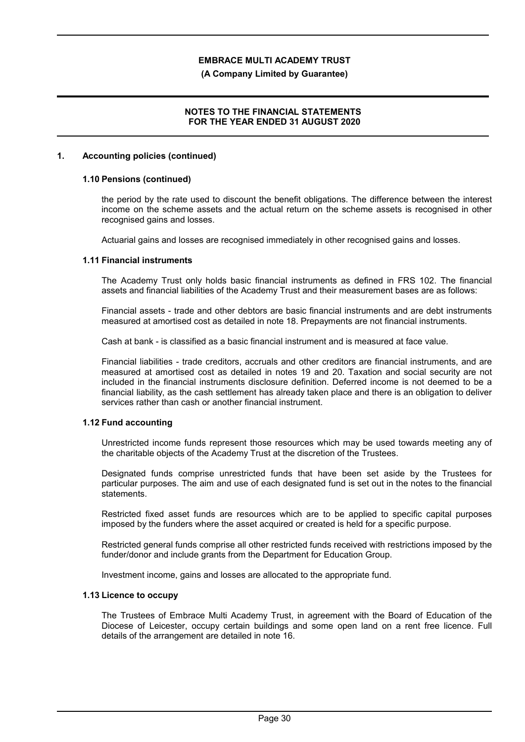#### **(A Company Limited by Guarantee)**

### **NOTES TO THE FINANCIAL STATEMENTS FOR THE YEAR ENDED 31 AUGUST 2020**

#### **1. Accounting policies (continued)**

#### **1.10 Pensions (continued)**

the period by the rate used to discount the benefit obligations. The difference between the interest income on the scheme assets and the actual return on the scheme assets is recognised in other recognised gains and losses.

Actuarial gains and losses are recognised immediately in other recognised gains and losses.

#### **1.11 Financial instruments**

The Academy Trust only holds basic financial instruments as defined in FRS 102. The financial assets and financial liabilities of the Academy Trust and their measurement bases are as follows:

Financial assets - trade and other debtors are basic financial instruments and are debt instruments measured at amortised cost as detailed in note 18. Prepayments are not financial instruments.

Cash at bank - is classified as a basic financial instrument and is measured at face value.

Financial liabilities - trade creditors, accruals and other creditors are financial instruments, and are measured at amortised cost as detailed in notes 19 and 20. Taxation and social security are not included in the financial instruments disclosure definition. Deferred income is not deemed to be a financial liability, as the cash settlement has already taken place and there is an obligation to deliver services rather than cash or another financial instrument.

#### **1.12 Fund accounting**

Unrestricted income funds represent those resources which may be used towards meeting any of the charitable objects of the Academy Trust at the discretion of the Trustees.

Designated funds comprise unrestricted funds that have been set aside by the Trustees for particular purposes. The aim and use of each designated fund is set out in the notes to the financial statements.

Restricted fixed asset funds are resources which are to be applied to specific capital purposes imposed by the funders where the asset acquired or created is held for a specific purpose.

Restricted general funds comprise all other restricted funds received with restrictions imposed by the funder/donor and include grants from the Department for Education Group.

Investment income, gains and losses are allocated to the appropriate fund.

#### **1.13 Licence to occupy**

The Trustees of Embrace Multi Academy Trust, in agreement with the Board of Education of the Diocese of Leicester, occupy certain buildings and some open land on a rent free licence. Full details of the arrangement are detailed in note 16.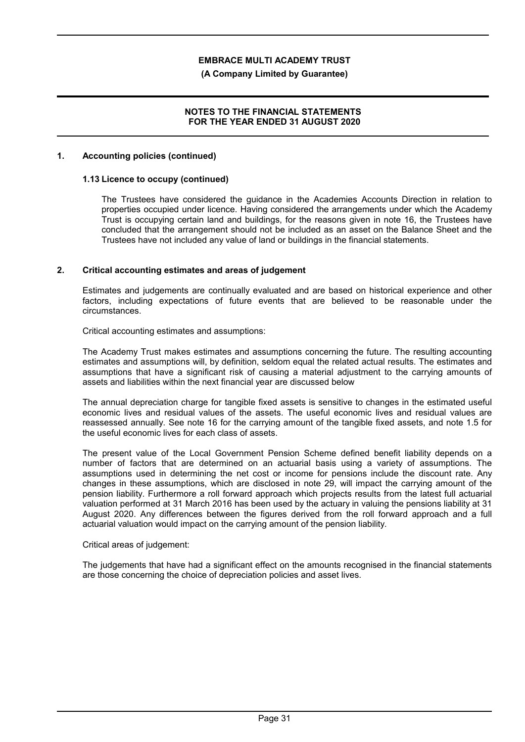#### **(A Company Limited by Guarantee)**

### **NOTES TO THE FINANCIAL STATEMENTS FOR THE YEAR ENDED 31 AUGUST 2020**

#### **1. Accounting policies (continued)**

#### **1.13 Licence to occupy (continued)**

The Trustees have considered the guidance in the Academies Accounts Direction in relation to properties occupied under licence. Having considered the arrangements under which the Academy Trust is occupying certain land and buildings, for the reasons given in note 16, the Trustees have concluded that the arrangement should not be included as an asset on the Balance Sheet and the Trustees have not included any value of land or buildings in the financial statements.

#### **2. Critical accounting estimates and areas of judgement**

Estimates and judgements are continually evaluated and are based on historical experience and other factors, including expectations of future events that are believed to be reasonable under the circumstances.

Critical accounting estimates and assumptions:

The Academy Trust makes estimates and assumptions concerning the future. The resulting accounting estimates and assumptions will, by definition, seldom equal the related actual results. The estimates and assumptions that have a significant risk of causing a material adjustment to the carrying amounts of assets and liabilities within the next financial year are discussed below

The annual depreciation charge for tangible fixed assets is sensitive to changes in the estimated useful economic lives and residual values of the assets. The useful economic lives and residual values are reassessed annually. See note 16 for the carrying amount of the tangible fixed assets, and note 1.5 for the useful economic lives for each class of assets.

The present value of the Local Government Pension Scheme defined benefit liability depends on a number of factors that are determined on an actuarial basis using a variety of assumptions. The assumptions used in determining the net cost or income for pensions include the discount rate. Any changes in these assumptions, which are disclosed in note 29, will impact the carrying amount of the pension liability. Furthermore a roll forward approach which projects results from the latest full actuarial valuation performed at 31 March 2016 has been used by the actuary in valuing the pensions liability at 31 August 2020. Any differences between the figures derived from the roll forward approach and a full actuarial valuation would impact on the carrying amount of the pension liability.

#### Critical areas of judgement:

The judgements that have had a significant effect on the amounts recognised in the financial statements are those concerning the choice of depreciation policies and asset lives.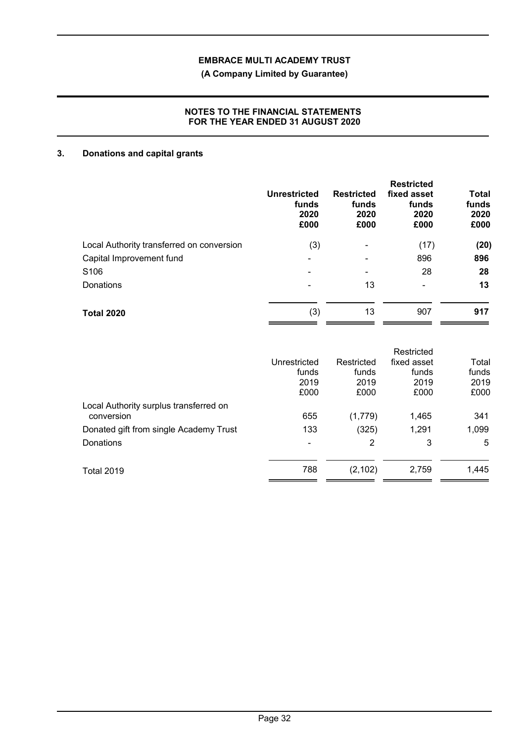# **(A Company Limited by Guarantee)**

### **NOTES TO THE FINANCIAL STATEMENTS FOR THE YEAR ENDED 31 AUGUST 2020**

# **3. Donations and capital grants**

|                                           | <b>Unrestricted</b><br>funds<br>2020<br>£000 | <b>Restricted</b><br>funds<br>2020<br>£000 | <b>Restricted</b><br>fixed asset<br>funds<br>2020<br>£000 | <b>Total</b><br>funds<br>2020<br>£000 |
|-------------------------------------------|----------------------------------------------|--------------------------------------------|-----------------------------------------------------------|---------------------------------------|
| Local Authority transferred on conversion | (3)                                          | ۰                                          | (17)                                                      | (20)                                  |
| Capital Improvement fund                  |                                              |                                            | 896                                                       | 896                                   |
| S <sub>106</sub>                          |                                              | ۰                                          | 28                                                        | 28                                    |
| Donations                                 |                                              | 13                                         | $\blacksquare$                                            | 13                                    |
| <b>Total 2020</b>                         | (3)                                          | 13                                         | 907                                                       | 917                                   |

|                                        |              |            | Restricted  |       |
|----------------------------------------|--------------|------------|-------------|-------|
|                                        | Unrestricted | Restricted | fixed asset | Total |
|                                        | funds        | funds      | funds       | funds |
|                                        | 2019         | 2019       | 2019        | 2019  |
|                                        | £000         | £000       | £000        | £000  |
| Local Authority surplus transferred on |              |            |             |       |
| conversion                             | 655          | (1,779)    | 1,465       | 341   |
| Donated gift from single Academy Trust | 133          | (325)      | 1,291       | 1,099 |
| Donations                              |              | 2          | 3           | 5     |
|                                        | 788          | (2, 102)   |             | 1,445 |
| <b>Total 2019</b>                      |              |            | 2,759       |       |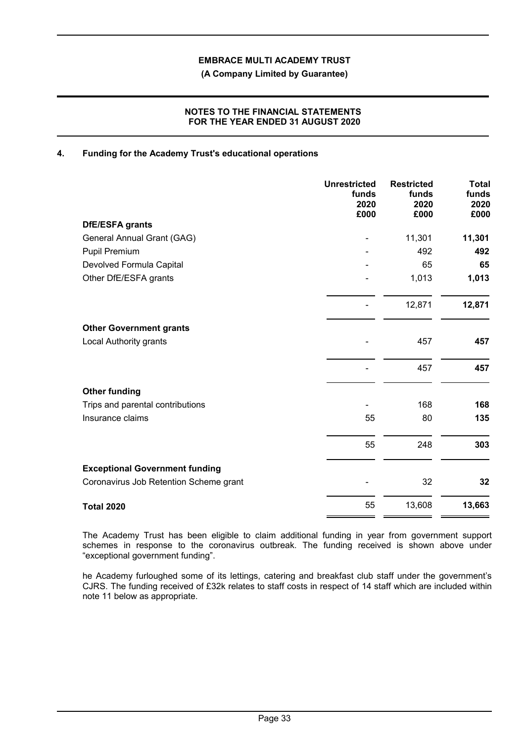**(A Company Limited by Guarantee)**

### **NOTES TO THE FINANCIAL STATEMENTS FOR THE YEAR ENDED 31 AUGUST 2020**

## **4. Funding for the Academy Trust's educational operations**

|                                        | <b>Unrestricted</b><br>funds<br>2020<br>£000 | <b>Restricted</b><br>funds<br>2020<br>£000 | <b>Total</b><br>funds<br>2020<br>£000 |
|----------------------------------------|----------------------------------------------|--------------------------------------------|---------------------------------------|
| <b>DfE/ESFA grants</b>                 |                                              |                                            |                                       |
| General Annual Grant (GAG)             |                                              | 11,301                                     | 11,301                                |
| Pupil Premium                          |                                              | 492                                        | 492                                   |
| Devolved Formula Capital               |                                              | 65                                         | 65                                    |
| Other DfE/ESFA grants                  |                                              | 1,013                                      | 1,013                                 |
|                                        |                                              | 12,871                                     | 12,871                                |
| <b>Other Government grants</b>         |                                              |                                            |                                       |
| <b>Local Authority grants</b>          |                                              | 457                                        | 457                                   |
|                                        |                                              | 457                                        | 457                                   |
| <b>Other funding</b>                   |                                              |                                            |                                       |
| Trips and parental contributions       |                                              | 168                                        | 168                                   |
| Insurance claims                       | 55                                           | 80                                         | 135                                   |
|                                        | 55                                           | 248                                        | 303                                   |
| <b>Exceptional Government funding</b>  |                                              |                                            |                                       |
| Coronavirus Job Retention Scheme grant |                                              | 32                                         | 32                                    |
| <b>Total 2020</b>                      | 55                                           | 13,608                                     | 13,663                                |
|                                        |                                              |                                            |                                       |

The Academy Trust has been eligible to claim additional funding in year from government support schemes in response to the coronavirus outbreak. The funding received is shown above under "exceptional government funding".

he Academy furloughed some of its lettings, catering and breakfast club staff under the government's CJRS. The funding received of £32k relates to staff costs in respect of 14 staff which are included within note 11 below as appropriate.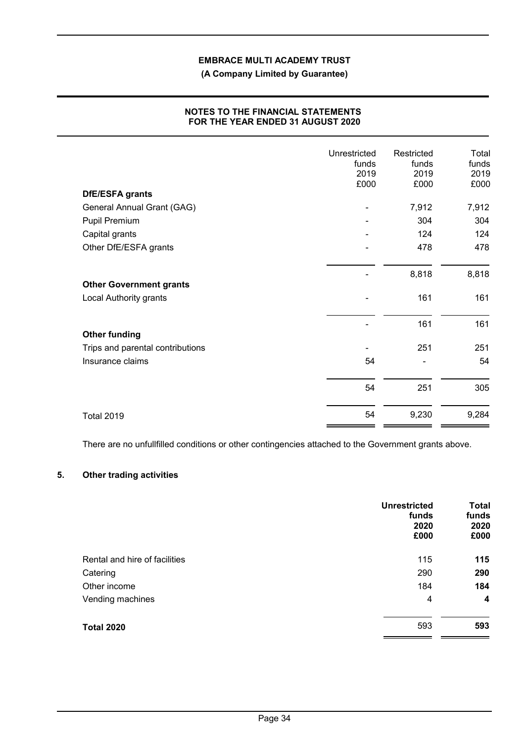**(A Company Limited by Guarantee)**

|                                  | Unrestricted | Restricted | Total |
|----------------------------------|--------------|------------|-------|
|                                  | funds        | funds      | funds |
|                                  | 2019         | 2019       | 2019  |
|                                  | £000         | £000       | £000  |
| <b>DfE/ESFA grants</b>           |              |            |       |
| General Annual Grant (GAG)       |              | 7,912      | 7,912 |
| Pupil Premium                    |              | 304        | 304   |
| Capital grants                   |              | 124        | 124   |
| Other DfE/ESFA grants            |              | 478        | 478   |
|                                  |              | 8,818      | 8,818 |
| <b>Other Government grants</b>   |              |            |       |
| Local Authority grants           |              | 161        | 161   |
|                                  |              | 161        | 161   |
| <b>Other funding</b>             |              |            |       |
| Trips and parental contributions |              | 251        | 251   |
| Insurance claims                 | 54           |            | 54    |
|                                  | 54           | 251        | 305   |
| <b>Total 2019</b>                | 54           | 9,230      | 9,284 |
|                                  |              |            |       |

### **NOTES TO THE FINANCIAL STATEMENTS FOR THE YEAR ENDED 31 AUGUST 2020**

There are no unfullfilled conditions or other contingencies attached to the Government grants above.

# **5. Other trading activities**

|                               | <b>Unrestricted</b><br>funds<br>2020<br>£000 | <b>Total</b><br>funds<br>2020<br>£000 |
|-------------------------------|----------------------------------------------|---------------------------------------|
| Rental and hire of facilities | 115                                          | 115                                   |
| Catering                      | 290                                          | 290                                   |
| Other income                  | 184                                          | 184                                   |
| Vending machines              | 4                                            | 4                                     |
| <b>Total 2020</b>             | 593                                          | 593                                   |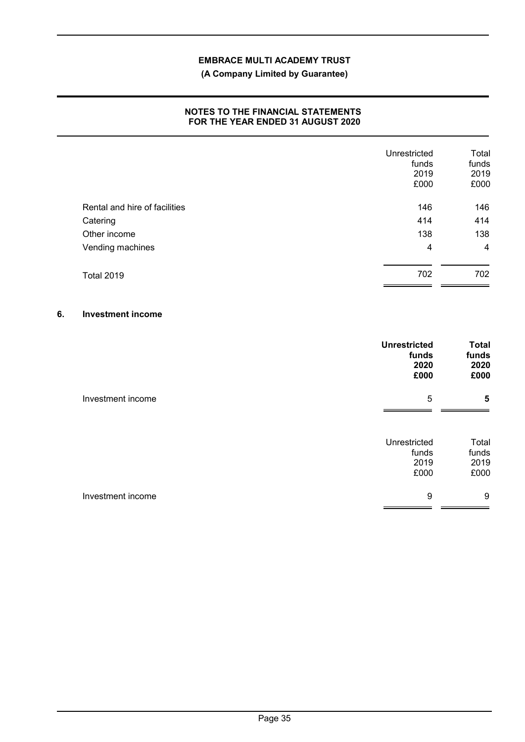# **(A Company Limited by Guarantee)**

### **NOTES TO THE FINANCIAL STATEMENTS FOR THE YEAR ENDED 31 AUGUST 2020**

|                               | Unrestricted | Total |
|-------------------------------|--------------|-------|
|                               | funds        | funds |
|                               | 2019         | 2019  |
|                               | £000         | £000  |
| Rental and hire of facilities | 146          | 146   |
| Catering                      | 414          | 414   |
| Other income                  | 138          | 138   |
| Vending machines              | 4            | 4     |
| <b>Total 2019</b>             | 702          | 702   |

# **6. Investment income**

|                   | <b>Unrestricted</b><br>funds<br>2020<br>£000 | <b>Total</b><br>funds<br>2020<br>£000 |
|-------------------|----------------------------------------------|---------------------------------------|
| Investment income | 5                                            | 5                                     |
|                   | Unrestricted<br>funds<br>2019<br>£000        | Total<br>funds<br>2019<br>£000        |
| Investment income | 9                                            | 9                                     |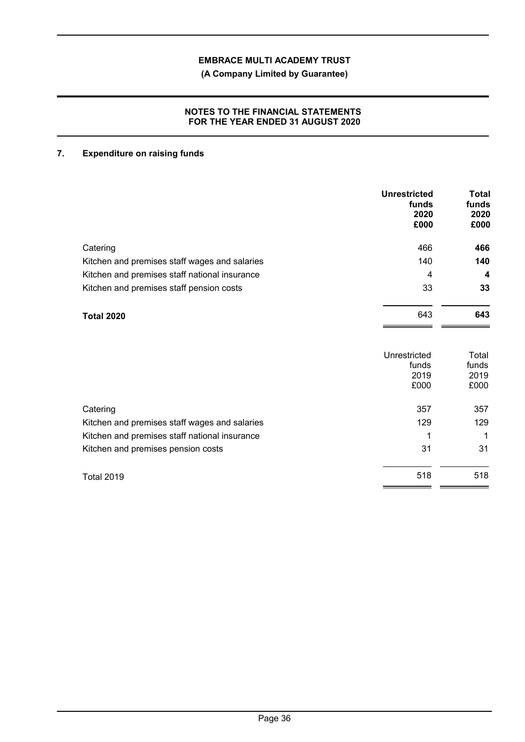# **(A Company Limited by Guarantee)**

## **NOTES TO THE FINANCIAL STATEMENTS FOR THE YEAR ENDED 31 AUGUST 2020**

# **7. Expenditure on raising funds**

|                                               | <b>Unrestricted</b><br>funds<br>2020<br>£000 | Total<br>funds<br>2020<br>£000 |
|-----------------------------------------------|----------------------------------------------|--------------------------------|
| Catering                                      | 466                                          | 466                            |
| Kitchen and premises staff wages and salaries | 140                                          | 140                            |
| Kitchen and premises staff national insurance | 4                                            | 4                              |
| Kitchen and premises staff pension costs      | 33                                           | 33                             |
| <b>Total 2020</b>                             | 643                                          | 643                            |
|                                               | Unrestricted                                 | Total                          |
|                                               | funds<br>2019                                | funds<br>2019                  |
|                                               | £000                                         | £000                           |
| Catering                                      | 357                                          | 357                            |
| Kitchen and premises staff wages and salaries | 129                                          | 129                            |
| Kitchen and premises staff national insurance | 1                                            | 1                              |
| Kitchen and premises pension costs            | 31                                           | 31                             |
| <b>Total 2019</b>                             | 518                                          | 518                            |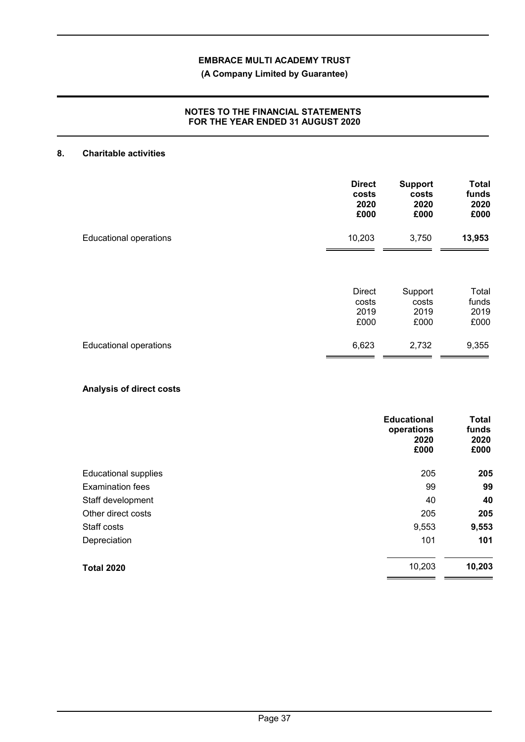# **(A Company Limited by Guarantee)**

### **NOTES TO THE FINANCIAL STATEMENTS FOR THE YEAR ENDED 31 AUGUST 2020**

### **8. Charitable activities**

|                               | <b>Direct</b> | <b>Support</b> | <b>Total</b> |
|-------------------------------|---------------|----------------|--------------|
|                               | costs         | costs          | funds        |
|                               | 2020          | 2020           | 2020         |
|                               | £000          | £000           | £000         |
| <b>Educational operations</b> | 10,203        | 3,750          | 13,953       |
|                               | <b>Direct</b> | Support        | Total        |
|                               | costs         | costs          | funds        |
|                               | 2019          | 2019           | 2019         |
| <b>Educational operations</b> | £000          | £000           | £000         |
|                               | 6,623         | 2,732          | 9,355        |

## **Analysis of direct costs**

|                             | <b>Educational</b><br>operations<br>2020<br>£000 | <b>Total</b><br>funds<br>2020<br>£000 |
|-----------------------------|--------------------------------------------------|---------------------------------------|
| <b>Educational supplies</b> | 205                                              | 205                                   |
| <b>Examination fees</b>     | 99                                               | 99                                    |
| Staff development           | 40                                               | 40                                    |
| Other direct costs          | 205                                              | 205                                   |
| Staff costs                 | 9,553                                            | 9,553                                 |
| Depreciation                | 101                                              | 101                                   |
| <b>Total 2020</b>           | 10,203                                           | 10,203                                |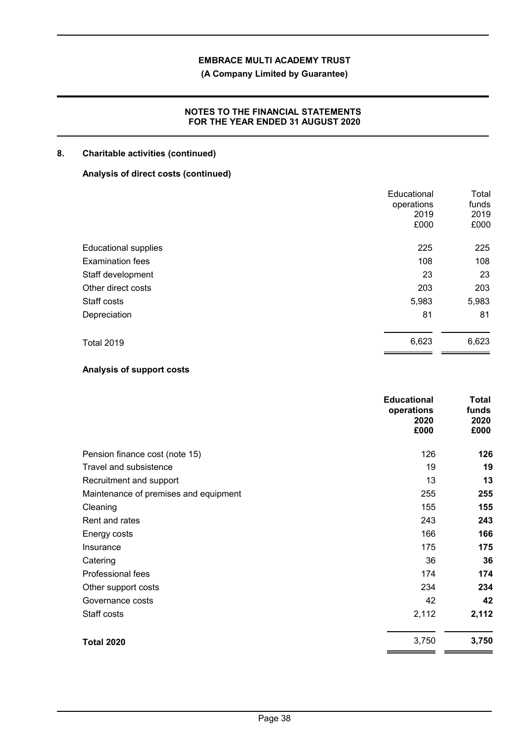**(A Company Limited by Guarantee)**

### **NOTES TO THE FINANCIAL STATEMENTS FOR THE YEAR ENDED 31 AUGUST 2020**

# **8. Charitable activities (continued)**

# **Analysis of direct costs (continued)**

|                             | Educational | Total |
|-----------------------------|-------------|-------|
|                             | operations  | funds |
|                             | 2019        | 2019  |
|                             | £000        | £000  |
| <b>Educational supplies</b> | 225         | 225   |
| <b>Examination fees</b>     | 108         | 108   |
| Staff development           | 23          | 23    |
| Other direct costs          | 203         | 203   |
| Staff costs                 | 5,983       | 5,983 |
| Depreciation                | 81          | 81    |
| <b>Total 2019</b>           | 6,623       | 6,623 |

## **Analysis of support costs**

|                                       | <b>Educational</b><br>operations<br>2020<br>£000 | <b>Total</b><br>funds<br>2020<br>£000 |
|---------------------------------------|--------------------------------------------------|---------------------------------------|
| Pension finance cost (note 15)        | 126                                              | 126                                   |
| Travel and subsistence                | 19                                               | 19                                    |
| Recruitment and support               | 13                                               | 13                                    |
| Maintenance of premises and equipment | 255                                              | 255                                   |
| Cleaning                              | 155                                              | 155                                   |
| Rent and rates                        | 243                                              | 243                                   |
| Energy costs                          | 166                                              | 166                                   |
| Insurance                             | 175                                              | 175                                   |
| Catering                              | 36                                               | 36                                    |
| Professional fees                     | 174                                              | 174                                   |
| Other support costs                   | 234                                              | 234                                   |
| Governance costs                      | 42                                               | 42                                    |
| Staff costs                           | 2,112                                            | 2,112                                 |
| <b>Total 2020</b>                     | 3,750                                            | 3,750                                 |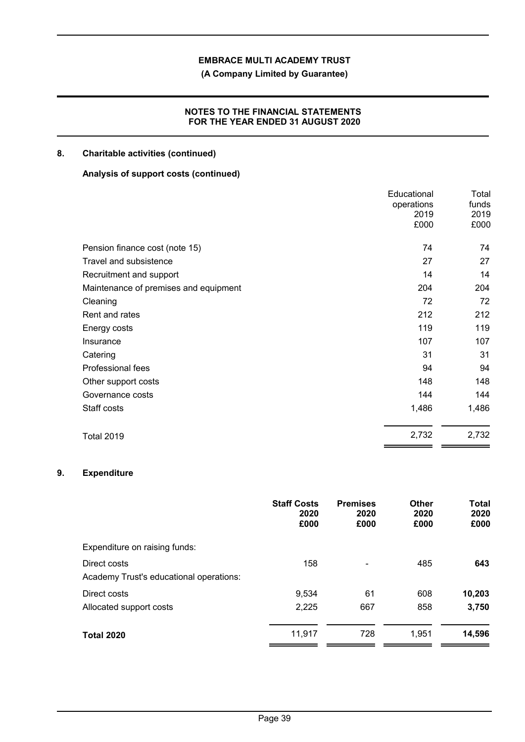**(A Company Limited by Guarantee)**

### **NOTES TO THE FINANCIAL STATEMENTS FOR THE YEAR ENDED 31 AUGUST 2020**

# **8. Charitable activities (continued)**

# **Analysis of support costs (continued)**

|                                       | Educational | Total |
|---------------------------------------|-------------|-------|
|                                       | operations  | funds |
|                                       | 2019        | 2019  |
|                                       | £000        | £000  |
| Pension finance cost (note 15)        | 74          | 74    |
| Travel and subsistence                | 27          | 27    |
| Recruitment and support               | 14          | 14    |
| Maintenance of premises and equipment | 204         | 204   |
| Cleaning                              | 72          | 72    |
| Rent and rates                        | 212         | 212   |
| Energy costs                          | 119         | 119   |
| Insurance                             | 107         | 107   |
| Catering                              | 31          | 31    |
| Professional fees                     | 94          | 94    |
| Other support costs                   | 148         | 148   |
| Governance costs                      | 144         | 144   |
| Staff costs                           | 1,486       | 1,486 |
| <b>Total 2019</b>                     | 2,732       | 2,732 |
|                                       |             |       |

# **9. Expenditure**

|                                                         | <b>Staff Costs</b><br>2020<br>£000 | <b>Premises</b><br>2020<br>£000 | Other<br>2020<br>£000 | <b>Total</b><br>2020<br>£000 |
|---------------------------------------------------------|------------------------------------|---------------------------------|-----------------------|------------------------------|
| Expenditure on raising funds:                           |                                    |                                 |                       |                              |
| Direct costs<br>Academy Trust's educational operations: | 158                                | -                               | 485                   | 643                          |
| Direct costs                                            | 9,534                              | 61                              | 608                   | 10,203                       |
| Allocated support costs                                 | 2,225                              | 667                             | 858                   | 3,750                        |
| <b>Total 2020</b>                                       | 11,917                             | 728                             | 1,951                 | 14,596                       |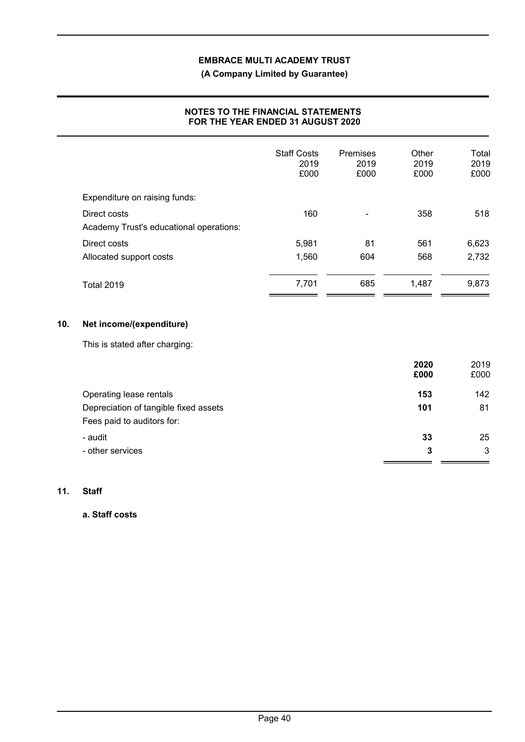# **(A Company Limited by Guarantee)**

### **NOTES TO THE FINANCIAL STATEMENTS FOR THE YEAR ENDED 31 AUGUST 2020**

|                                                         | <b>Staff Costs</b><br>2019<br>£000 | Premises<br>2019<br>£000 | Other<br>2019<br>£000 | Total<br>2019<br>£000 |
|---------------------------------------------------------|------------------------------------|--------------------------|-----------------------|-----------------------|
| Expenditure on raising funds:                           |                                    |                          |                       |                       |
| Direct costs<br>Academy Trust's educational operations: | 160                                |                          | 358                   | 518                   |
| Direct costs                                            | 5,981                              | 81                       | 561                   | 6,623                 |
| Allocated support costs                                 | 1,560                              | 604                      | 568                   | 2,732                 |
| <b>Total 2019</b>                                       | 7,701                              | 685                      | 1,487                 | 9,873                 |
|                                                         |                                    |                          |                       |                       |

# **10. Net income/(expenditure)**

# This is stated after charging:

|                                       | 2020 | 2019 |
|---------------------------------------|------|------|
|                                       | £000 | £000 |
| Operating lease rentals               | 153  | 142  |
| Depreciation of tangible fixed assets | 101  | 81   |
| Fees paid to auditors for:            |      |      |
| - audit                               | 33   | 25   |
| - other services                      | 3    | 3    |
|                                       |      |      |

# **11. Staff**

### **a. Staff costs**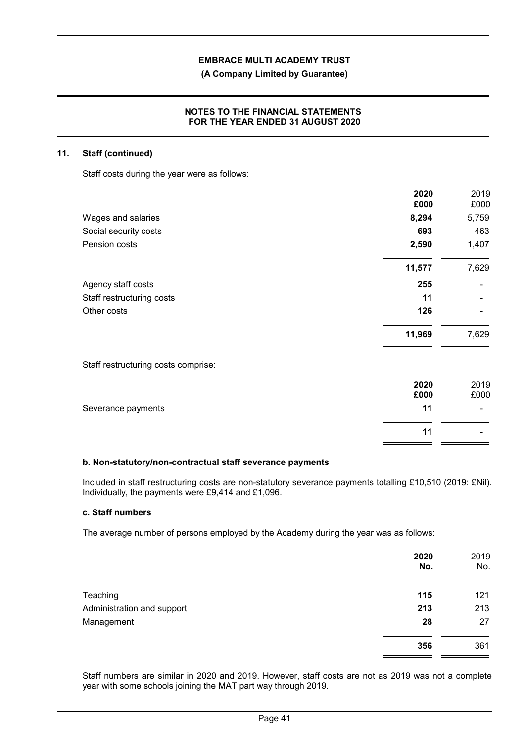**(A Company Limited by Guarantee)**

### **NOTES TO THE FINANCIAL STATEMENTS FOR THE YEAR ENDED 31 AUGUST 2020**

### **11. Staff (continued)**

Staff costs during the year were as follows:

|                                     | 2020         | 2019         |
|-------------------------------------|--------------|--------------|
|                                     | £000         | £000         |
| Wages and salaries                  | 8,294        | 5,759        |
| Social security costs               | 693          | 463          |
| Pension costs                       | 2,590        | 1,407        |
|                                     | 11,577       | 7,629        |
| Agency staff costs                  | 255          |              |
| Staff restructuring costs           | 11           |              |
| Other costs                         | 126          |              |
|                                     | 11,969       | 7,629        |
| Staff restructuring costs comprise: |              |              |
|                                     | 2020<br>£000 | 2019<br>£000 |
| Severance payments                  | 11           |              |
|                                     |              |              |

### **b. Non-statutory/non-contractual staff severance payments**

Included in staff restructuring costs are non-statutory severance payments totalling £10,510 (2019: £Nil). Individually, the payments were £9,414 and £1,096.

**11** -

### **c. Staff numbers**

The average number of persons employed by the Academy during the year was as follows:

|                            | 2020<br>No. | 2019<br>No. |
|----------------------------|-------------|-------------|
| Teaching                   | 115         | 121         |
| Administration and support | 213         | 213         |
| Management                 | 28          | 27          |
|                            | 356         | 361         |

Staff numbers are similar in 2020 and 2019. However, staff costs are not as 2019 was not a complete year with some schools joining the MAT part way through 2019.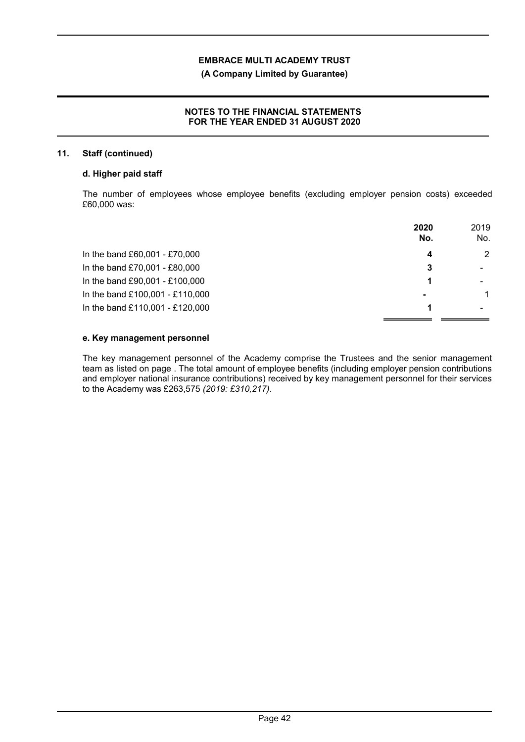### **(A Company Limited by Guarantee)**

### **NOTES TO THE FINANCIAL STATEMENTS FOR THE YEAR ENDED 31 AUGUST 2020**

### **11. Staff (continued)**

### **d. Higher paid staff**

The number of employees whose employee benefits (excluding employer pension costs) exceeded £60,000 was:

|                                 | 2020<br>No.    | 2019<br>No. |
|---------------------------------|----------------|-------------|
| In the band £60,001 - £70,000   | 4              | 2           |
| In the band £70,001 - £80,000   | 3              |             |
| In the band £90,001 - £100,000  |                |             |
| In the band £100,001 - £110,000 | $\blacksquare$ | 1.          |
| In the band £110,001 - £120,000 | 1              |             |

#### **e. Key management personnel**

The key management personnel of the Academy comprise the Trustees and the senior management team as listed on page . The total amount of employee benefits (including employer pension contributions and employer national insurance contributions) received by key management personnel for their services to the Academy was £263,575 *(2019: £310,217)*.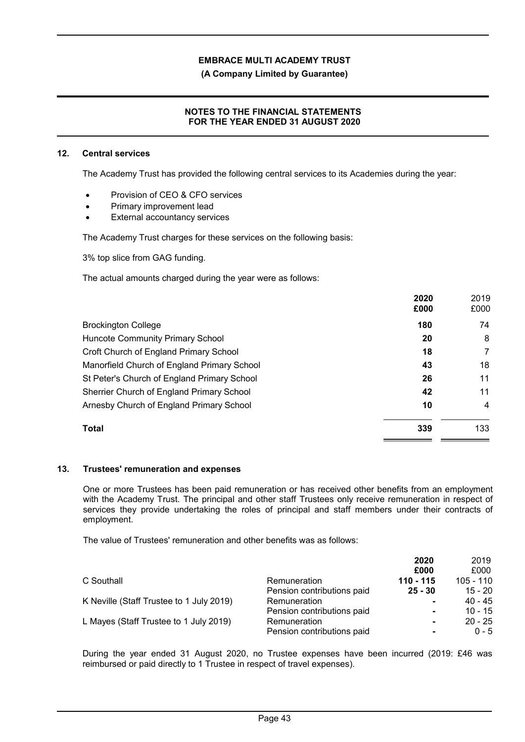**(A Company Limited by Guarantee)**

### **NOTES TO THE FINANCIAL STATEMENTS FOR THE YEAR ENDED 31 AUGUST 2020**

### **12. Central services**

The Academy Trust has provided the following central services to its Academies during the year:

- Provision of CEO & CFO services
- Primary improvement lead
- External accountancy services

The Academy Trust charges for these services on the following basis:

3% top slice from GAG funding.

The actual amounts charged during the year were as follows:

|                                             | 2020<br>£000 | 2019<br>£000   |
|---------------------------------------------|--------------|----------------|
| <b>Brockington College</b>                  | 180          | 74             |
| <b>Huncote Community Primary School</b>     | 20           | 8              |
| Croft Church of England Primary School      | 18           | $\overline{7}$ |
| Manorfield Church of England Primary School | 43           | 18             |
| St Peter's Church of England Primary School | 26           | 11             |
| Sherrier Church of England Primary School   | 42           | 11             |
| Arnesby Church of England Primary School    | 10           | 4              |
| Total                                       | 339          | 133            |

### **13. Trustees' remuneration and expenses**

One or more Trustees has been paid remuneration or has received other benefits from an employment with the Academy Trust. The principal and other staff Trustees only receive remuneration in respect of services they provide undertaking the roles of principal and staff members under their contracts of employment.

The value of Trustees' remuneration and other benefits was as follows:

|                                          |                            | 2020           | 2019        |
|------------------------------------------|----------------------------|----------------|-------------|
|                                          |                            | £000           | £000        |
| C Southall                               | Remuneration               | 110 - 115      | $105 - 110$ |
|                                          | Pension contributions paid | $25 - 30$      | 15 - 20     |
| K Neville (Staff Trustee to 1 July 2019) | <b>Remuneration</b>        |                | $40 - 45$   |
|                                          | Pension contributions paid | $\blacksquare$ | $10 - 15$   |
| L Mayes (Staff Trustee to 1 July 2019)   | <b>Remuneration</b>        | ٠.             | $20 - 25$   |
|                                          | Pension contributions paid |                | $0 - 5$     |

During the year ended 31 August 2020, no Trustee expenses have been incurred (2019: £46 was reimbursed or paid directly to 1 Trustee in respect of travel expenses).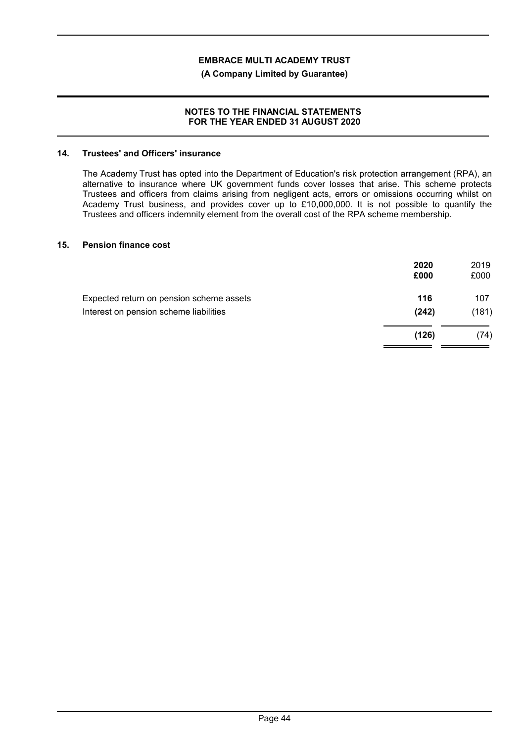### **(A Company Limited by Guarantee)**

### **NOTES TO THE FINANCIAL STATEMENTS FOR THE YEAR ENDED 31 AUGUST 2020**

### **14. Trustees' and Officers' insurance**

The Academy Trust has opted into the Department of Education's risk protection arrangement (RPA), an alternative to insurance where UK government funds cover losses that arise. This scheme protects Trustees and officers from claims arising from negligent acts, errors or omissions occurring whilst on Academy Trust business, and provides cover up to £10,000,000. It is not possible to quantify the Trustees and officers indemnity element from the overall cost of the RPA scheme membership.

#### **15. Pension finance cost**

|                                          | 2020<br>£000 | 2019<br>£000 |
|------------------------------------------|--------------|--------------|
| Expected return on pension scheme assets | 116          | 107          |
| Interest on pension scheme liabilities   | (242)        | (181)        |
|                                          | (126)        | (74)         |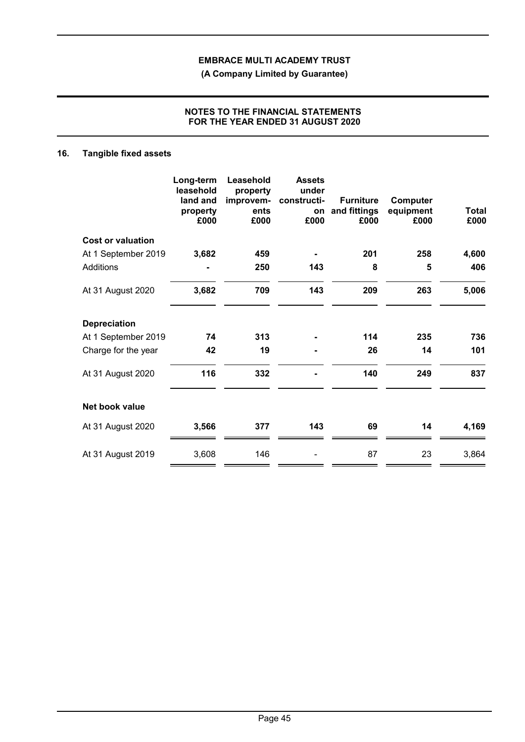**(A Company Limited by Guarantee)**

### **NOTES TO THE FINANCIAL STATEMENTS FOR THE YEAR ENDED 31 AUGUST 2020**

# **16. Tangible fixed assets**

|                          | Long-term<br>leasehold<br>land and<br>property<br>£000 | Leasehold<br>property<br>improvem-<br>ents<br>£000 | <b>Assets</b><br>under<br>constructi-<br>on<br>£000 | <b>Furniture</b><br>and fittings<br>£000 | Computer<br>equipment<br>£000 | Total<br>£000 |
|--------------------------|--------------------------------------------------------|----------------------------------------------------|-----------------------------------------------------|------------------------------------------|-------------------------------|---------------|
| <b>Cost or valuation</b> |                                                        |                                                    |                                                     |                                          |                               |               |
| At 1 September 2019      | 3,682                                                  | 459                                                |                                                     | 201                                      | 258                           | 4,600         |
| Additions                |                                                        | 250                                                | 143                                                 | 8                                        | 5                             | 406           |
| At 31 August 2020        | 3,682                                                  | 709                                                | 143                                                 | 209                                      | 263                           | 5,006         |
| <b>Depreciation</b>      |                                                        |                                                    |                                                     |                                          |                               |               |
| At 1 September 2019      | 74                                                     | 313                                                |                                                     | 114                                      | 235                           | 736           |
| Charge for the year      | 42                                                     | 19                                                 |                                                     | 26                                       | 14                            | 101           |
| At 31 August 2020        | 116                                                    | 332                                                |                                                     | 140                                      | 249                           | 837           |
| Net book value           |                                                        |                                                    |                                                     |                                          |                               |               |
| At 31 August 2020        | 3,566                                                  | 377                                                | 143                                                 | 69                                       | 14                            | 4,169         |
| At 31 August 2019        | 3,608                                                  | 146                                                |                                                     | 87                                       | 23                            | 3,864         |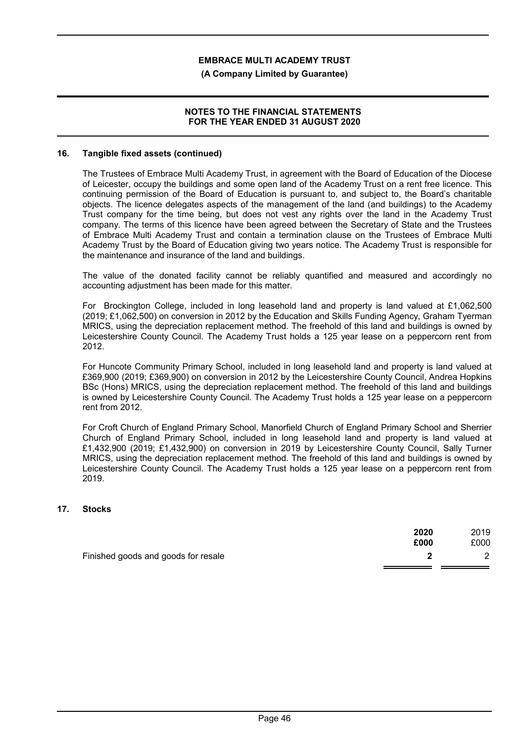**(A Company Limited by Guarantee)**

### **NOTES TO THE FINANCIAL STATEMENTS FOR THE YEAR ENDED 31 AUGUST 2020**

#### **16. Tangible fixed assets (continued)**

The Trustees of Embrace Multi Academy Trust, in agreement with the Board of Education of the Diocese of Leicester, occupy the buildings and some open land of the Academy Trust on a rent free licence. This continuing permission of the Board of Education is pursuant to, and subject to, the Board's charitable objects. The licence delegates aspects of the management of the land (and buildings) to the Academy Trust company for the time being, but does not vest any rights over the land in the Academy Trust company. The terms of this licence have been agreed between the Secretary of State and the Trustees of Embrace Multi Academy Trust and contain a termination clause on the Trustees of Embrace Multi Academy Trust by the Board of Education giving two years notice. The Academy Trust is responsible for the maintenance and insurance of the land and buildings.

The value of the donated facility cannot be reliably quantified and measured and accordingly no accounting adjustment has been made for this matter.

For Brockington College, included in long leasehold land and property is land valued at £1,062,500 (2019; £1,062,500) on conversion in 2012 by the Education and Skills Funding Agency, Graham Tyerman MRICS, using the depreciation replacement method. The freehold of this land and buildings is owned by Leicestershire County Council. The Academy Trust holds a 125 year lease on a peppercorn rent from 2012.

For Huncote Community Primary School, included in long leasehold land and property is land valued at £369,900 (2019; £369,900) on conversion in 2012 by the Leicestershire County Council, Andrea Hopkins BSc (Hons) MRICS, using the depreciation replacement method. The freehold of this land and buildings is owned by Leicestershire County Council. The Academy Trust holds a 125 year lease on a peppercorn rent from 2012.

For Croft Church of England Primary School, Manorfield Church of England Primary School and Sherrier Church of England Primary School, included in long leasehold land and property is land valued at £1,432,900 (2019; £1,432,900) on conversion in 2019 by Leicestershire County Council, Sally Turner MRICS, using the depreciation replacement method. The freehold of this land and buildings is owned by Leicestershire County Council. The Academy Trust holds a 125 year lease on a peppercorn rent from 2019.

### **17. Stocks**

|                                     | 2020 | 2019 |
|-------------------------------------|------|------|
|                                     | £000 | £000 |
| Finished goods and goods for resale |      |      |
|                                     |      |      |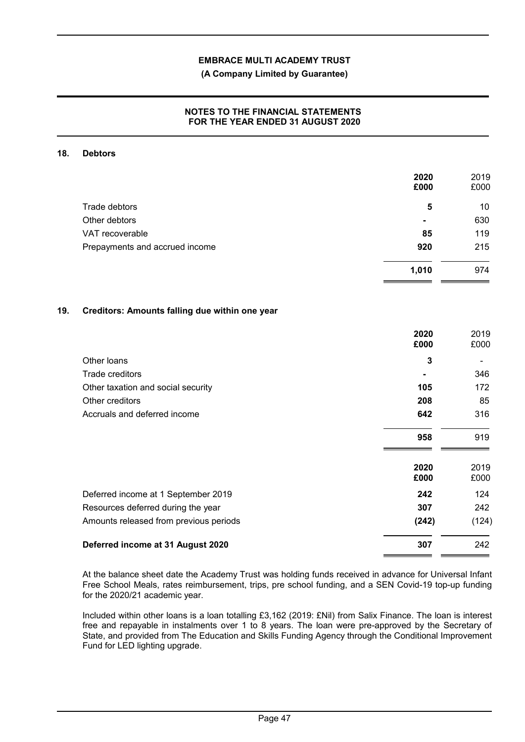### **(A Company Limited by Guarantee)**

### **NOTES TO THE FINANCIAL STATEMENTS FOR THE YEAR ENDED 31 AUGUST 2020**

#### **18. Debtors**

|     |                                                | 2020<br>£000 | 2019<br>£000 |
|-----|------------------------------------------------|--------------|--------------|
|     | Trade debtors                                  | 5            | 10           |
|     | Other debtors                                  |              | 630          |
|     | VAT recoverable                                | 85           | 119          |
|     | Prepayments and accrued income                 | 920          | 215          |
|     |                                                | 1,010        | 974          |
| 19. | Creditors: Amounts falling due within one year |              |              |
|     |                                                | 2020<br>£000 | 2019<br>£000 |
|     | Other loans                                    | 3            |              |
|     | Trade creditors                                |              | 346          |
|     | Other taxation and social security             | 105          | 172          |
|     | Other creditors                                | 208          | 85           |
|     | Accruals and deferred income                   | 642          | 316          |
|     |                                                | 958          | 919          |
|     |                                                | 2020<br>£000 | 2019<br>£000 |
|     | Deferred income at 1 September 2019            | 242          | 124          |
|     | Resources deferred during the year             | 307          | 242          |
|     | Amounts released from previous periods         | (242)        | (124)        |
|     | Deferred income at 31 August 2020              | 307          | 242          |

At the balance sheet date the Academy Trust was holding funds received in advance for Universal Infant Free School Meals, rates reimbursement, trips, pre school funding, and a SEN Covid-19 top-up funding for the 2020/21 academic year.

Included within other loans is a loan totalling £3,162 (2019: £Nil) from Salix Finance. The loan is interest free and repayable in instalments over 1 to 8 years. The loan were pre-approved by the Secretary of State, and provided from The Education and Skills Funding Agency through the Conditional Improvement Fund for LED lighting upgrade.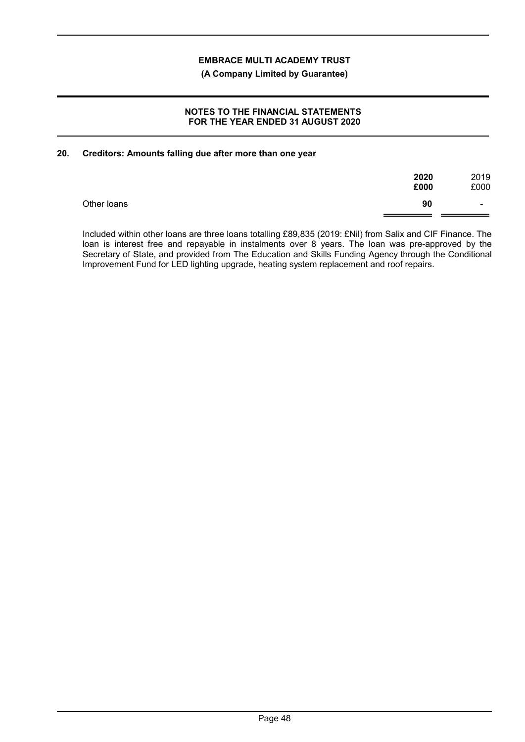### **(A Company Limited by Guarantee)**

### **NOTES TO THE FINANCIAL STATEMENTS FOR THE YEAR ENDED 31 AUGUST 2020**

### **20. Creditors: Amounts falling due after more than one year**

|             | 2020<br>£000 | 2019<br>£000             |
|-------------|--------------|--------------------------|
| Other loans | 90           | $\overline{\phantom{0}}$ |

Included within other loans are three loans totalling £89,835 (2019: £Nil) from Salix and CIF Finance. The loan is interest free and repayable in instalments over 8 years. The loan was pre-approved by the Secretary of State, and provided from The Education and Skills Funding Agency through the Conditional Improvement Fund for LED lighting upgrade, heating system replacement and roof repairs.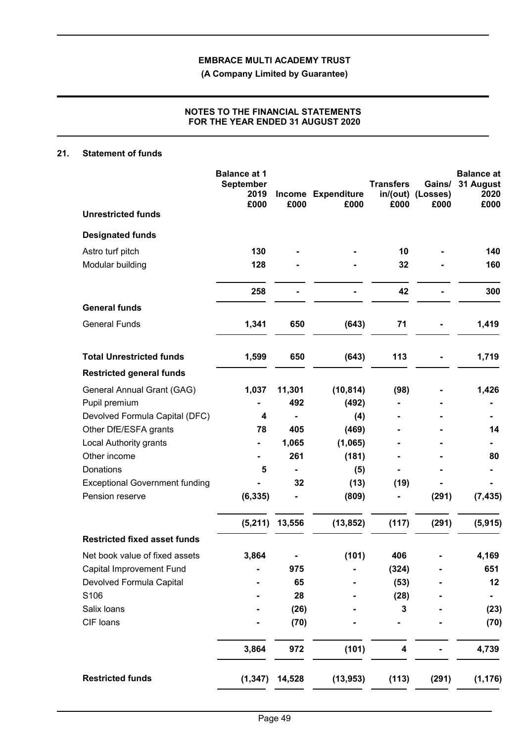**(A Company Limited by Guarantee)**

### **NOTES TO THE FINANCIAL STATEMENTS FOR THE YEAR ENDED 31 AUGUST 2020**

#### **21. Statement of funds**

|                                       | <b>Balance at 1</b><br><b>September</b><br>2019<br>£000 | £000   | Income Expenditure | <b>Transfers</b><br>£000 | Gains/<br>in/(out) (Losses) | <b>Balance at</b><br>31 August<br>2020<br>£000 |
|---------------------------------------|---------------------------------------------------------|--------|--------------------|--------------------------|-----------------------------|------------------------------------------------|
| <b>Unrestricted funds</b>             |                                                         |        | £000               |                          | £000                        |                                                |
| <b>Designated funds</b>               |                                                         |        |                    |                          |                             |                                                |
| Astro turf pitch                      | 130                                                     |        |                    | 10                       |                             | 140                                            |
| Modular building                      | 128                                                     |        |                    | 32                       |                             | 160                                            |
|                                       | 258                                                     |        |                    | 42                       |                             | 300                                            |
| <b>General funds</b>                  |                                                         |        |                    |                          |                             |                                                |
| <b>General Funds</b>                  | 1,341                                                   | 650    | (643)              | 71                       |                             | 1,419                                          |
| <b>Total Unrestricted funds</b>       | 1,599                                                   | 650    | (643)              | 113                      |                             | 1,719                                          |
| <b>Restricted general funds</b>       |                                                         |        |                    |                          |                             |                                                |
| General Annual Grant (GAG)            | 1,037                                                   | 11,301 | (10, 814)          | (98)                     |                             | 1,426                                          |
| Pupil premium                         |                                                         | 492    | (492)              |                          |                             |                                                |
| Devolved Formula Capital (DFC)        | 4                                                       |        | (4)                |                          |                             |                                                |
| Other DfE/ESFA grants                 | 78                                                      | 405    | (469)              |                          |                             | 14                                             |
| <b>Local Authority grants</b>         | ٠                                                       | 1,065  | (1,065)            |                          |                             |                                                |
| Other income                          |                                                         | 261    | (181)              |                          |                             | 80                                             |
| Donations                             | 5                                                       |        | (5)                |                          |                             |                                                |
| <b>Exceptional Government funding</b> |                                                         | 32     | (13)               | (19)                     |                             |                                                |
| Pension reserve                       | (6, 335)                                                |        | (809)              |                          | (291)                       | (7, 435)                                       |
|                                       | (5, 211)                                                | 13,556 | (13, 852)          | (117)                    | (291)                       | (5, 915)                                       |
| <b>Restricted fixed asset funds</b>   |                                                         |        |                    |                          |                             |                                                |
| Net book value of fixed assets        | 3,864                                                   |        | (101)              | 406                      |                             | 4,169                                          |
| Capital Improvement Fund              |                                                         | 975    |                    | (324)                    |                             | 651                                            |
| Devolved Formula Capital              |                                                         | 65     |                    | (53)                     |                             | 12                                             |
| S106                                  |                                                         | 28     |                    | (28)                     |                             |                                                |
| Salix loans                           |                                                         | (26)   |                    | 3                        |                             | (23)                                           |
| CIF loans                             |                                                         | (70)   |                    |                          |                             | (70)                                           |
|                                       | 3,864                                                   | 972    | (101)              | $\overline{\mathbf{4}}$  |                             | 4,739                                          |
| <b>Restricted funds</b>               | (1, 347)                                                | 14,528 | (13, 953)          | (113)                    | (291)                       | (1, 176)                                       |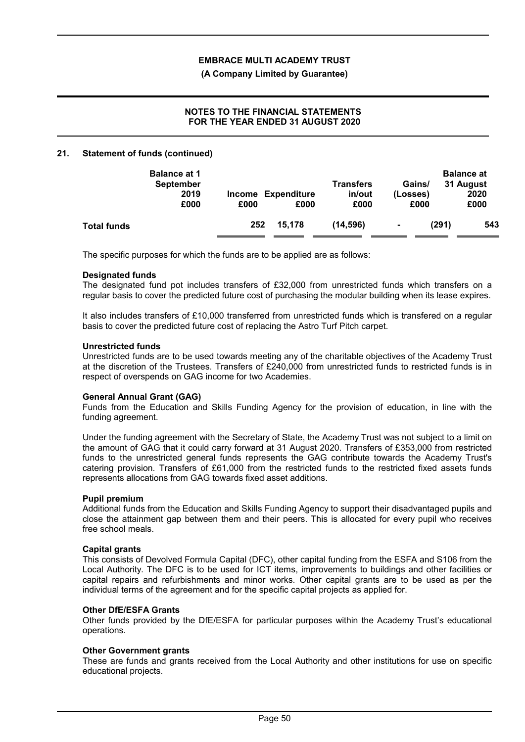**(A Company Limited by Guarantee)**

### **NOTES TO THE FINANCIAL STATEMENTS FOR THE YEAR ENDED 31 AUGUST 2020**

### **21. Statement of funds (continued)**

|                    | <b>Balance at 1</b><br><b>September</b><br>2019<br>£000 | Income<br>£000 | <b>Expenditure</b><br>£000 | Transfers<br>in/out<br>£000 | Gains/<br>(Losses)<br>£000 | <b>Balance at</b><br>31 August<br>2020<br>£000 |
|--------------------|---------------------------------------------------------|----------------|----------------------------|-----------------------------|----------------------------|------------------------------------------------|
| <b>Total funds</b> |                                                         | 252            | 15.178                     | (14, 596)                   | $\blacksquare$             | 543<br>(291)                                   |

The specific purposes for which the funds are to be applied are as follows:

#### **Designated funds**

The designated fund pot includes transfers of £32,000 from unrestricted funds which transfers on a regular basis to cover the predicted future cost of purchasing the modular building when its lease expires.

It also includes transfers of £10,000 transferred from unrestricted funds which is transfered on a regular basis to cover the predicted future cost of replacing the Astro Turf Pitch carpet.

#### **Unrestricted funds**

Unrestricted funds are to be used towards meeting any of the charitable objectives of the Academy Trust at the discretion of the Trustees. Transfers of £240,000 from unrestricted funds to restricted funds is in respect of overspends on GAG income for two Academies.

### **General Annual Grant (GAG)**

Funds from the Education and Skills Funding Agency for the provision of education, in line with the funding agreement.

Under the funding agreement with the Secretary of State, the Academy Trust was not subject to a limit on the amount of GAG that it could carry forward at 31 August 2020. Transfers of £353,000 from restricted funds to the unrestricted general funds represents the GAG contribute towards the Academy Trust's catering provision. Transfers of £61,000 from the restricted funds to the restricted fixed assets funds represents allocations from GAG towards fixed asset additions.

#### **Pupil premium**

Additional funds from the Education and Skills Funding Agency to support their disadvantaged pupils and close the attainment gap between them and their peers. This is allocated for every pupil who receives free school meals.

#### **Capital grants**

This consists of Devolved Formula Capital (DFC), other capital funding from the ESFA and S106 from the Local Authority. The DFC is to be used for ICT items, improvements to buildings and other facilities or capital repairs and refurbishments and minor works. Other capital grants are to be used as per the individual terms of the agreement and for the specific capital projects as applied for.

#### **Other DfE/ESFA Grants**

Other funds provided by the DfE/ESFA for particular purposes within the Academy Trust's educational operations.

#### **Other Government grants**

These are funds and grants received from the Local Authority and other institutions for use on specific educational projects.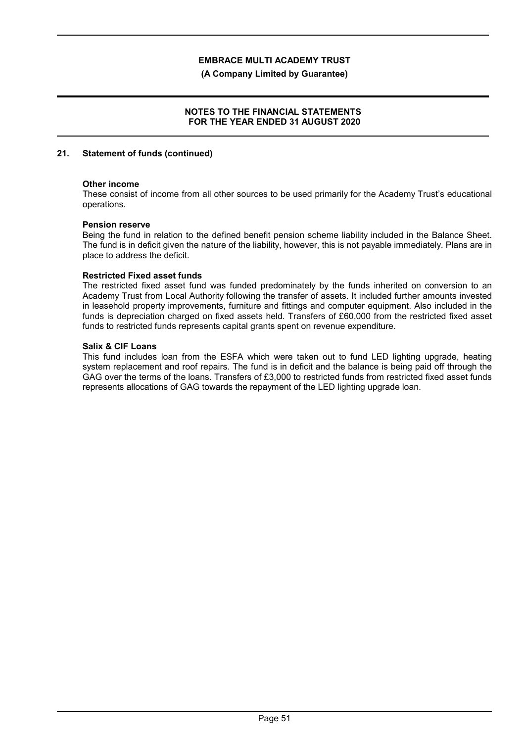**(A Company Limited by Guarantee)**

### **NOTES TO THE FINANCIAL STATEMENTS FOR THE YEAR ENDED 31 AUGUST 2020**

### **21. Statement of funds (continued)**

### **Other income**

These consist of income from all other sources to be used primarily for the Academy Trust's educational operations.

#### **Pension reserve**

Being the fund in relation to the defined benefit pension scheme liability included in the Balance Sheet. The fund is in deficit given the nature of the liability, however, this is not payable immediately. Plans are in place to address the deficit.

#### **Restricted Fixed asset funds**

The restricted fixed asset fund was funded predominately by the funds inherited on conversion to an Academy Trust from Local Authority following the transfer of assets. It included further amounts invested in leasehold property improvements, furniture and fittings and computer equipment. Also included in the funds is depreciation charged on fixed assets held. Transfers of £60,000 from the restricted fixed asset funds to restricted funds represents capital grants spent on revenue expenditure.

#### **Salix & CIF Loans**

This fund includes loan from the ESFA which were taken out to fund LED lighting upgrade, heating system replacement and roof repairs. The fund is in deficit and the balance is being paid off through the GAG over the terms of the loans. Transfers of £3,000 to restricted funds from restricted fixed asset funds represents allocations of GAG towards the repayment of the LED lighting upgrade loan.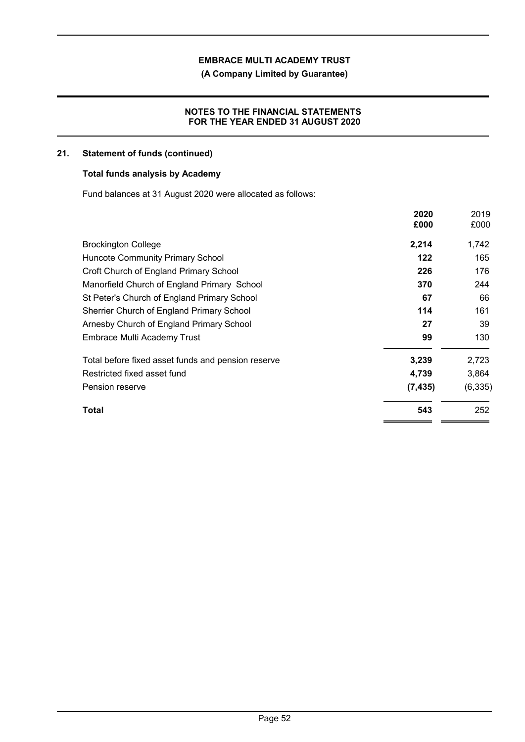**(A Company Limited by Guarantee)**

# **NOTES TO THE FINANCIAL STATEMENTS FOR THE YEAR ENDED 31 AUGUST 2020**

### **21. Statement of funds (continued)**

### **Total funds analysis by Academy**

Fund balances at 31 August 2020 were allocated as follows:

|                                                    | 2020<br>£000 | 2019<br>£000 |
|----------------------------------------------------|--------------|--------------|
| <b>Brockington College</b>                         | 2,214        | 1,742        |
| <b>Huncote Community Primary School</b>            | 122          | 165          |
| Croft Church of England Primary School             | 226          | 176          |
| Manorfield Church of England Primary School        | 370          | 244          |
| St Peter's Church of England Primary School        | 67           | 66           |
| Sherrier Church of England Primary School          | 114          | 161          |
| Arnesby Church of England Primary School           | 27           | 39           |
| <b>Embrace Multi Academy Trust</b>                 | 99           | 130          |
| Total before fixed asset funds and pension reserve | 3,239        | 2,723        |
| Restricted fixed asset fund                        | 4,739        | 3,864        |
| Pension reserve                                    | (7, 435)     | (6, 335)     |
| Total                                              | 543          | 252          |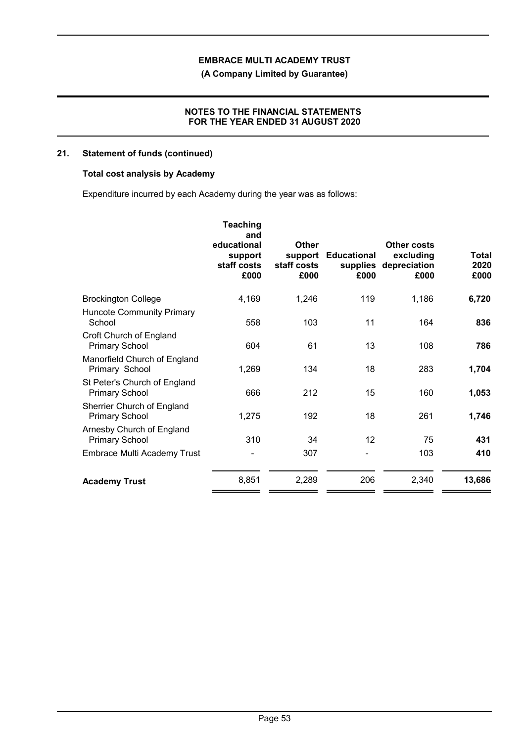**(A Company Limited by Guarantee)**

### **NOTES TO THE FINANCIAL STATEMENTS FOR THE YEAR ENDED 31 AUGUST 2020**

## **21. Statement of funds (continued)**

# **Total cost analysis by Academy**

Expenditure incurred by each Academy during the year was as follows:

|                                                       | <b>Teaching</b><br>and<br>educational<br>support<br>staff costs<br>£000 | Other<br>support<br>staff costs<br>£000 | <b>Educational</b><br>supplies<br>£000 | Other costs<br>excluding<br>depreciation<br>£000 | <b>Total</b><br>2020<br>£000 |
|-------------------------------------------------------|-------------------------------------------------------------------------|-----------------------------------------|----------------------------------------|--------------------------------------------------|------------------------------|
| <b>Brockington College</b>                            | 4,169                                                                   | 1,246                                   | 119                                    | 1,186                                            | 6,720                        |
| <b>Huncote Community Primary</b><br>School            | 558                                                                     | 103                                     | 11                                     | 164                                              | 836                          |
| Croft Church of England<br><b>Primary School</b>      | 604                                                                     | 61                                      | 13                                     | 108                                              | 786                          |
| Manorfield Church of England<br>Primary School        | 1,269                                                                   | 134                                     | 18                                     | 283                                              | 1,704                        |
| St Peter's Church of England<br><b>Primary School</b> | 666                                                                     | 212                                     | 15                                     | 160                                              | 1,053                        |
| Sherrier Church of England<br><b>Primary School</b>   | 1,275                                                                   | 192                                     | 18                                     | 261                                              | 1,746                        |
| Arnesby Church of England<br><b>Primary School</b>    | 310                                                                     | 34                                      | 12                                     | 75                                               | 431                          |
| <b>Embrace Multi Academy Trust</b>                    |                                                                         | 307                                     | ۰                                      | 103                                              | 410                          |
| <b>Academy Trust</b>                                  | 8,851                                                                   | 2,289                                   | 206                                    | 2,340                                            | 13,686                       |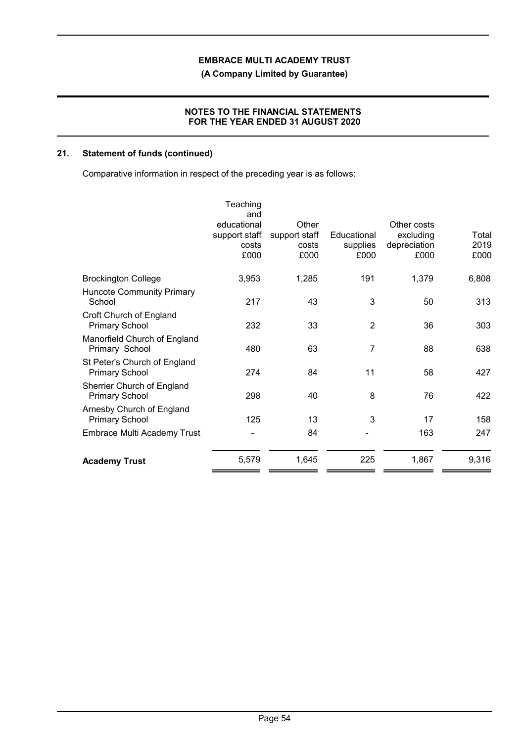**(A Company Limited by Guarantee)**

### **NOTES TO THE FINANCIAL STATEMENTS FOR THE YEAR ENDED 31 AUGUST 2020**

# **21. Statement of funds (continued)**

Comparative information in respect of the preceding year is as follows:

| <b>Academy Trust</b>                                  | 5,579                                                            | 1,645                                   | 225                             | 1,867                                            | 9,316                 |
|-------------------------------------------------------|------------------------------------------------------------------|-----------------------------------------|---------------------------------|--------------------------------------------------|-----------------------|
| <b>Embrace Multi Academy Trust</b>                    |                                                                  | 84                                      |                                 | 163                                              | 247                   |
| Arnesby Church of England<br><b>Primary School</b>    | 125                                                              | 13                                      | 3                               | 17                                               | 158                   |
| Sherrier Church of England<br><b>Primary School</b>   | 298                                                              | 40                                      | 8                               | 76                                               | 422                   |
| St Peter's Church of England<br><b>Primary School</b> | 274                                                              | 84                                      | 11                              | 58                                               | 427                   |
| Manorfield Church of England<br>Primary School        | 480                                                              | 63                                      | 7                               | 88                                               | 638                   |
| Croft Church of England<br><b>Primary School</b>      | 232                                                              | 33                                      | $\overline{2}$                  | 36                                               | 303                   |
| <b>Huncote Community Primary</b><br>School            | 217                                                              | 43                                      | 3                               | 50                                               | 313                   |
| <b>Brockington College</b>                            | 3,953                                                            | 1,285                                   | 191                             | 1,379                                            | 6,808                 |
|                                                       | Teaching<br>and<br>educational<br>support staff<br>costs<br>£000 | Other<br>support staff<br>costs<br>£000 | Educational<br>supplies<br>£000 | Other costs<br>excluding<br>depreciation<br>£000 | Total<br>2019<br>£000 |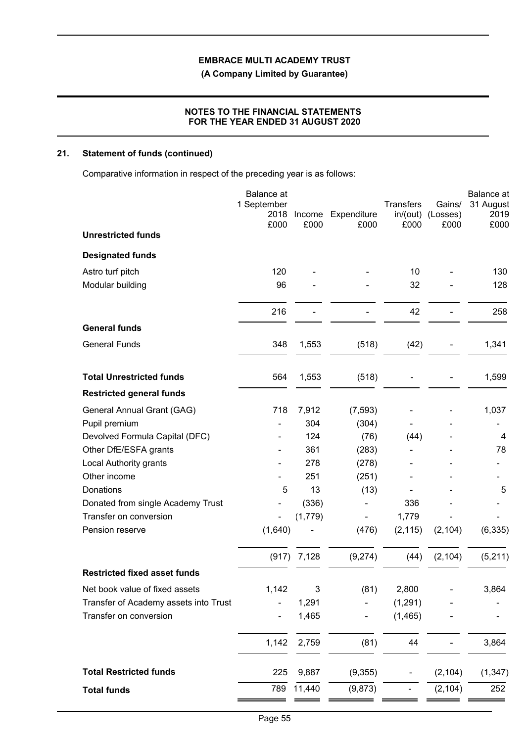**(A Company Limited by Guarantee)**

### **NOTES TO THE FINANCIAL STATEMENTS FOR THE YEAR ENDED 31 AUGUST 2020**

# **21. Statement of funds (continued)**

Comparative information in respect of the preceding year is as follows:

| £000<br>£000<br>£000<br>£000<br>£000<br><b>Unrestricted funds</b><br><b>Designated funds</b><br>Astro turf pitch<br>120<br>10<br>Modular building<br>96<br>32<br>216<br>42<br><b>General funds</b> | £000<br>130<br>128<br>258 |
|----------------------------------------------------------------------------------------------------------------------------------------------------------------------------------------------------|---------------------------|
|                                                                                                                                                                                                    |                           |
|                                                                                                                                                                                                    |                           |
|                                                                                                                                                                                                    |                           |
|                                                                                                                                                                                                    |                           |
|                                                                                                                                                                                                    |                           |
|                                                                                                                                                                                                    |                           |
| <b>General Funds</b><br>348<br>1,553<br>(518)<br>(42)                                                                                                                                              | 1,341                     |
| <b>Total Unrestricted funds</b><br>1,553<br>(518)<br>564                                                                                                                                           | 1,599                     |
| <b>Restricted general funds</b>                                                                                                                                                                    |                           |
| General Annual Grant (GAG)<br>718<br>7,912<br>(7, 593)                                                                                                                                             | 1,037                     |
| Pupil premium<br>304<br>(304)                                                                                                                                                                      |                           |
| 124<br>Devolved Formula Capital (DFC)<br>(76)<br>(44)                                                                                                                                              | 4                         |
| Other DfE/ESFA grants<br>361<br>(283)                                                                                                                                                              | 78                        |
| Local Authority grants<br>278<br>(278)                                                                                                                                                             |                           |
| Other income<br>251<br>(251)                                                                                                                                                                       |                           |
| Donations<br>5<br>13<br>(13)                                                                                                                                                                       | 5                         |
| Donated from single Academy Trust<br>336<br>(336)                                                                                                                                                  |                           |
| Transfer on conversion<br>(1,779)<br>1,779                                                                                                                                                         |                           |
| (1,640)<br>(2, 115)<br>Pension reserve<br>(2, 104)<br>(476)                                                                                                                                        | (6, 335)                  |
| (9,274)<br>(2, 104)<br>(917)<br>7,128<br>(44)                                                                                                                                                      | (5,211)                   |
| <b>Restricted fixed asset funds</b>                                                                                                                                                                |                           |
| 1,142<br>Net book value of fixed assets<br>3<br>(81)<br>2,800                                                                                                                                      | 3,864                     |
| 1,291<br>(1, 291)<br>Transfer of Academy assets into Trust                                                                                                                                         |                           |
| Transfer on conversion<br>1,465<br>(1, 465)                                                                                                                                                        |                           |
| 1,142<br>2,759<br>(81)<br>44                                                                                                                                                                       | 3,864                     |
| <b>Total Restricted funds</b><br>225<br>9,887<br>(9,355)<br>(2, 104)                                                                                                                               |                           |
| 11,440<br>(9,873)<br>(2, 104)<br>789<br><b>Total funds</b>                                                                                                                                         | (1, 347)                  |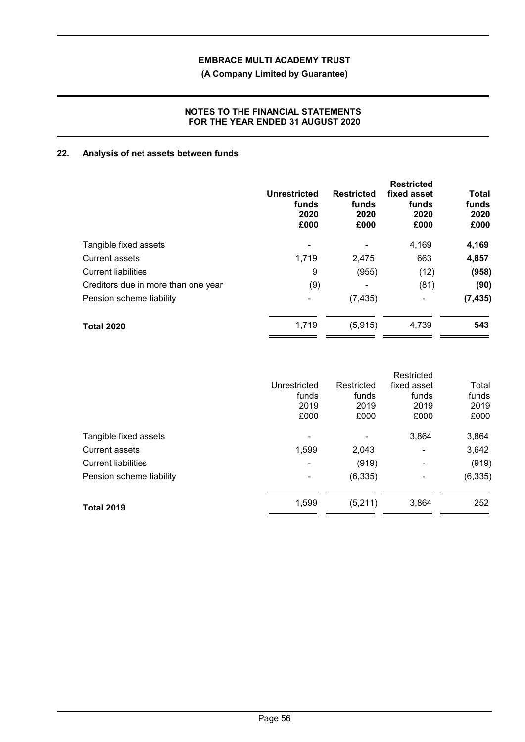# **(A Company Limited by Guarantee)**

### **NOTES TO THE FINANCIAL STATEMENTS FOR THE YEAR ENDED 31 AUGUST 2020**

# **22. Analysis of net assets between funds**

|                                     | Unrestricted<br>funds<br>2020<br>£000 | <b>Restricted</b><br>funds<br>2020<br>£000 | <b>Restricted</b><br>fixed asset<br>funds<br>2020<br>£000 | Total<br>funds<br>2020<br>£000 |
|-------------------------------------|---------------------------------------|--------------------------------------------|-----------------------------------------------------------|--------------------------------|
| Tangible fixed assets               |                                       |                                            | 4,169                                                     | 4,169                          |
| Current assets                      | 1,719                                 | 2,475                                      | 663                                                       | 4,857                          |
| <b>Current liabilities</b>          | 9                                     | (955)                                      | (12)                                                      | (958)                          |
| Creditors due in more than one year | (9)                                   |                                            | (81)                                                      | (90)                           |
| Pension scheme liability            |                                       | (7, 435)                                   | ۰                                                         | (7, 435)                       |
| <b>Total 2020</b>                   | 1,719                                 | (5, 915)                                   | 4,739                                                     | 543                            |

|                            |              |            | Restricted     |          |
|----------------------------|--------------|------------|----------------|----------|
|                            | Unrestricted | Restricted | fixed asset    | Total    |
|                            | funds        | funds      | funds          | funds    |
|                            | 2019         | 2019       | 2019           | 2019     |
|                            | £000         | £000       | £000           | £000     |
| Tangible fixed assets      |              |            | 3,864          | 3,864    |
| <b>Current assets</b>      | 1,599        | 2,043      | $\blacksquare$ | 3,642    |
| <b>Current liabilities</b> |              | (919)      | $\blacksquare$ | (919)    |
| Pension scheme liability   |              | (6, 335)   | -              | (6, 335) |
| <b>Total 2019</b>          | 1,599        | (5,211)    | 3,864          | 252      |
|                            |              |            |                |          |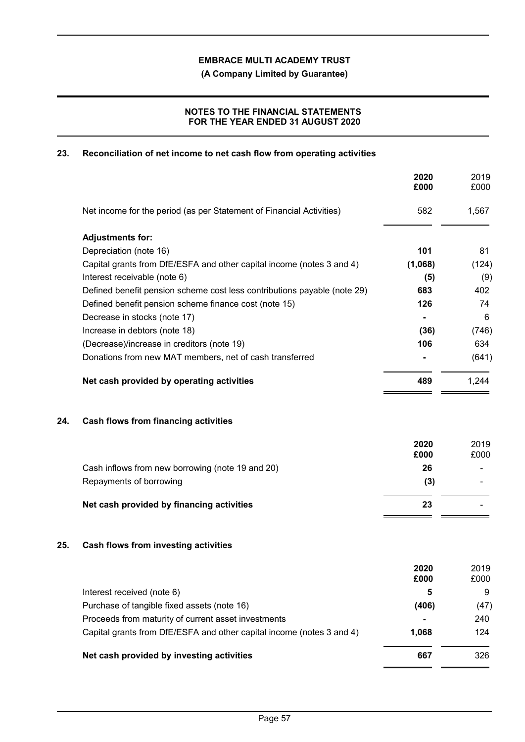**(A Company Limited by Guarantee)**

# **NOTES TO THE FINANCIAL STATEMENTS FOR THE YEAR ENDED 31 AUGUST 2020**

# **23. Reconciliation of net income to net cash flow from operating activities**

|     |                                                                          | 2020<br>£000 | 2019<br>£000 |
|-----|--------------------------------------------------------------------------|--------------|--------------|
|     | Net income for the period (as per Statement of Financial Activities)     | 582          | 1,567        |
|     | <b>Adjustments for:</b>                                                  |              |              |
|     | Depreciation (note 16)                                                   | 101          | 81           |
|     | Capital grants from DfE/ESFA and other capital income (notes 3 and 4)    | (1,068)      | (124)        |
|     | Interest receivable (note 6)                                             | (5)          | (9)          |
|     | Defined benefit pension scheme cost less contributions payable (note 29) | 683          | 402          |
|     | Defined benefit pension scheme finance cost (note 15)                    | 126          | 74           |
|     | Decrease in stocks (note 17)                                             |              | $\,6$        |
|     | Increase in debtors (note 18)                                            | (36)         | (746)        |
|     | (Decrease)/increase in creditors (note 19)                               | 106          | 634          |
|     | Donations from new MAT members, net of cash transferred                  |              | (641)        |
|     | Net cash provided by operating activities                                | 489          | 1,244        |
| 24. | <b>Cash flows from financing activities</b>                              |              |              |
|     |                                                                          | 2020<br>£000 | 2019<br>£000 |
|     | Cash inflows from new borrowing (note 19 and 20)                         | 26           |              |
|     | Repayments of borrowing                                                  | (3)          |              |
|     | Net cash provided by financing activities                                | 23           |              |
| 25. | Cash flows from investing activities                                     |              |              |
|     |                                                                          | 2020<br>£000 | 2019<br>£000 |
|     | Interest received (note 6)                                               | 5            | 9            |
|     | Purchase of tangible fixed assets (note 16)                              | (406)        | (47)         |
|     | Proceeds from maturity of current asset investments                      |              | 240          |
|     | Capital grants from DfE/ESFA and other capital income (notes 3 and 4)    | 1,068        | 124          |
|     | Net cash provided by investing activities                                | 667          | 326          |
|     |                                                                          |              |              |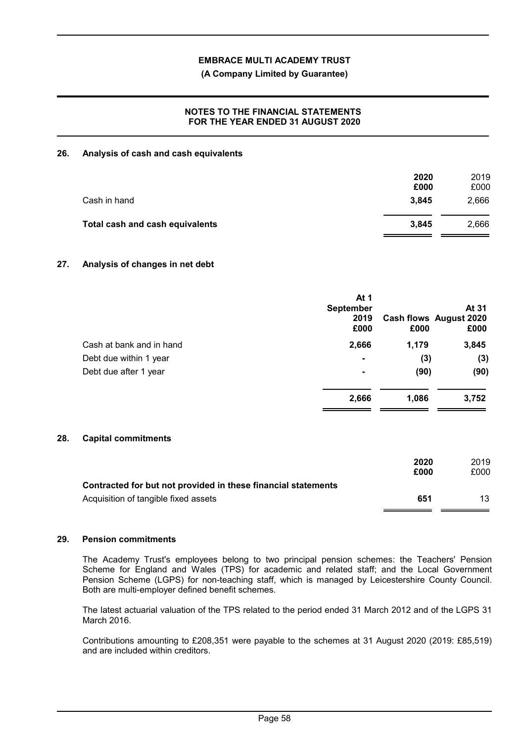#### **(A Company Limited by Guarantee)**

### **NOTES TO THE FINANCIAL STATEMENTS FOR THE YEAR ENDED 31 AUGUST 2020**

#### **26. Analysis of cash and cash equivalents**

|                                 | 2020<br>£000 | 2019<br>£000 |
|---------------------------------|--------------|--------------|
| Cash in hand                    | 3.845        | 2,666        |
| Total cash and cash equivalents | 3.845        | 2,666        |

### **27. Analysis of changes in net debt**

|                          | At 1<br><b>September</b><br>2019<br>£000 | £000  | At 31<br>Cash flows August 2020<br>£000 |
|--------------------------|------------------------------------------|-------|-----------------------------------------|
| Cash at bank and in hand | 2,666                                    | 1,179 | 3,845                                   |
| Debt due within 1 year   | $\blacksquare$                           | (3)   | (3)                                     |
| Debt due after 1 year    | $\blacksquare$                           | (90)  | (90)                                    |
|                          | 2,666                                    | 1,086 | 3,752                                   |

### **28. Capital commitments**

|                                                               | 2020<br>£000 | 2019<br>£000 |
|---------------------------------------------------------------|--------------|--------------|
| Contracted for but not provided in these financial statements |              |              |
| Acquisition of tangible fixed assets                          | 651          | 13           |
|                                                               |              |              |

#### **29. Pension commitments**

The Academy Trust's employees belong to two principal pension schemes: the Teachers' Pension Scheme for England and Wales (TPS) for academic and related staff; and the Local Government Pension Scheme (LGPS) for non-teaching staff, which is managed by Leicestershire County Council. Both are multi-employer defined benefit schemes.

The latest actuarial valuation of the TPS related to the period ended 31 March 2012 and of the LGPS 31 March 2016.

Contributions amounting to £208,351 were payable to the schemes at 31 August 2020 (2019: £85,519) and are included within creditors.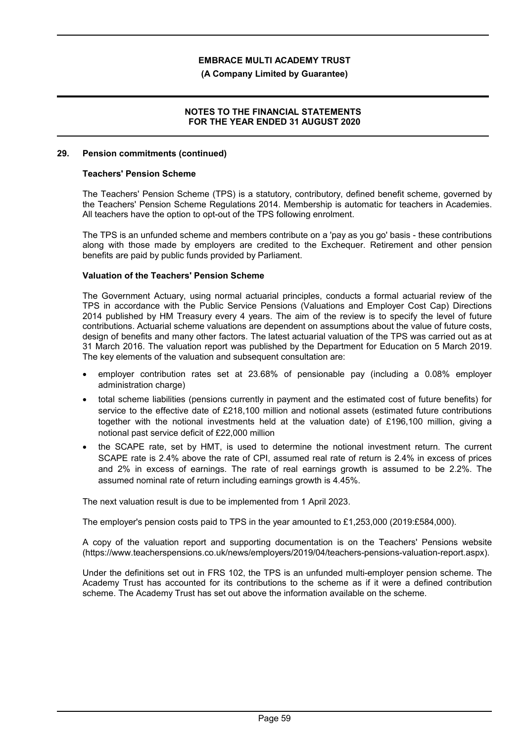**(A Company Limited by Guarantee)**

### **NOTES TO THE FINANCIAL STATEMENTS FOR THE YEAR ENDED 31 AUGUST 2020**

#### **29. Pension commitments (continued)**

#### **Teachers' Pension Scheme**

The Teachers' Pension Scheme (TPS) is a statutory, contributory, defined benefit scheme, governed by the Teachers' Pension Scheme Regulations 2014. Membership is automatic for teachers in Academies. All teachers have the option to opt-out of the TPS following enrolment.

The TPS is an unfunded scheme and members contribute on a 'pay as you go' basis - these contributions along with those made by employers are credited to the Exchequer. Retirement and other pension benefits are paid by public funds provided by Parliament.

### **Valuation of the Teachers' Pension Scheme**

The Government Actuary, using normal actuarial principles, conducts a formal actuarial review of the TPS in accordance with the Public Service Pensions (Valuations and Employer Cost Cap) Directions 2014 published by HM Treasury every 4 years. The aim of the review is to specify the level of future contributions. Actuarial scheme valuations are dependent on assumptions about the value of future costs, design of benefits and many other factors. The latest actuarial valuation of the TPS was carried out as at 31 March 2016. The valuation report was published by the Department for Education on 5 March 2019. The key elements of the valuation and subsequent consultation are:

- employer contribution rates set at 23.68% of pensionable pay (including a 0.08% employer administration charge)
- total scheme liabilities (pensions currently in payment and the estimated cost of future benefits) for service to the effective date of £218,100 million and notional assets (estimated future contributions together with the notional investments held at the valuation date) of £196,100 million, giving a notional past service deficit of £22,000 million
- the SCAPE rate, set by HMT, is used to determine the notional investment return. The current SCAPE rate is 2.4% above the rate of CPI, assumed real rate of return is 2.4% in excess of prices and 2% in excess of earnings. The rate of real earnings growth is assumed to be 2.2%. The assumed nominal rate of return including earnings growth is 4.45%.

The next valuation result is due to be implemented from 1 April 2023.

The employer's pension costs paid to TPS in the year amounted to £1,253,000 (2019:£584,000).

A copy of the valuation report and supporting documentation is on the Teachers' Pensions website (https://www.teacherspensions.co.uk/news/employers/2019/04/teachers-pensions-valuation-report.aspx).

Under the definitions set out in FRS 102, the TPS is an unfunded multi-employer pension scheme. The Academy Trust has accounted for its contributions to the scheme as if it were a defined contribution scheme. The Academy Trust has set out above the information available on the scheme.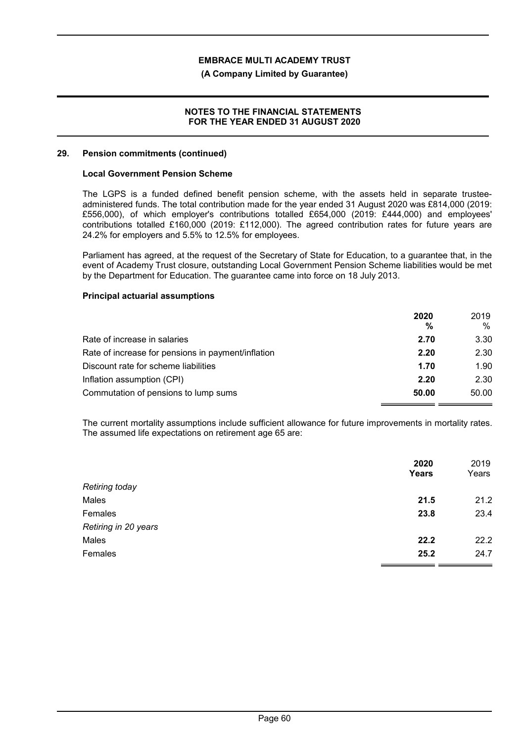#### **(A Company Limited by Guarantee)**

### **NOTES TO THE FINANCIAL STATEMENTS FOR THE YEAR ENDED 31 AUGUST 2020**

#### **29. Pension commitments (continued)**

#### **Local Government Pension Scheme**

The LGPS is a funded defined benefit pension scheme, with the assets held in separate trusteeadministered funds. The total contribution made for the year ended 31 August 2020 was £814,000 (2019: £556,000), of which employer's contributions totalled £654,000 (2019: £444,000) and employees' contributions totalled £160,000 (2019: £112,000). The agreed contribution rates for future years are 24.2% for employers and 5.5% to 12.5% for employees.

Parliament has agreed, at the request of the Secretary of State for Education, to a guarantee that, in the event of Academy Trust closure, outstanding Local Government Pension Scheme liabilities would be met by the Department for Education. The guarantee came into force on 18 July 2013.

#### **Principal actuarial assumptions**

|                                                    | 2020<br>% | 2019<br>% |
|----------------------------------------------------|-----------|-----------|
| Rate of increase in salaries                       | 2.70      | 3.30      |
| Rate of increase for pensions in payment/inflation | 2.20      | 2.30      |
| Discount rate for scheme liabilities               | 1.70      | 1.90      |
| Inflation assumption (CPI)                         | 2.20      | 2.30      |
| Commutation of pensions to lump sums               | 50.00     | 50.00     |

The current mortality assumptions include sufficient allowance for future improvements in mortality rates. The assumed life expectations on retirement age 65 are:

|                       | 2020<br>Years | 2019<br>Years |
|-----------------------|---------------|---------------|
| <b>Retiring today</b> |               |               |
| Males                 | 21.5          | 21.2          |
| Females               | 23.8          | 23.4          |
| Retiring in 20 years  |               |               |
| Males                 | 22.2          | 22.2          |
| Females               | 25.2          | 24.7          |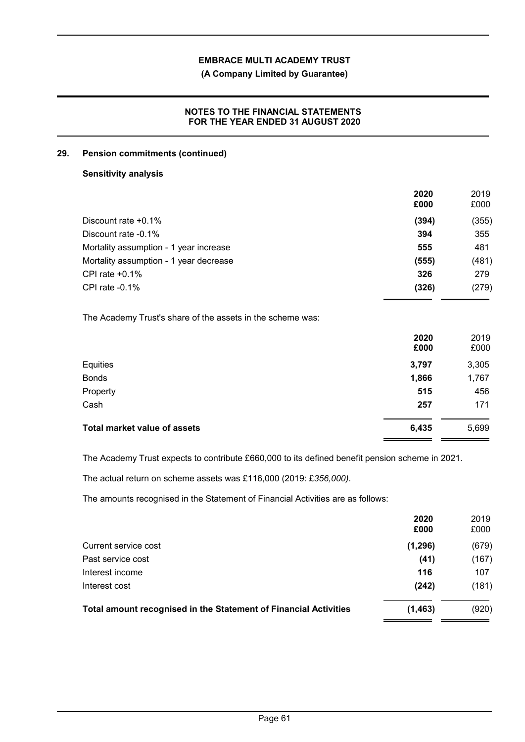# **(A Company Limited by Guarantee)**

### **NOTES TO THE FINANCIAL STATEMENTS FOR THE YEAR ENDED 31 AUGUST 2020**

### **29. Pension commitments (continued)**

### **Sensitivity analysis**

|                                        | 2020<br>£000 | 2019<br>£000 |
|----------------------------------------|--------------|--------------|
| Discount rate +0.1%                    | (394)        | (355)        |
| Discount rate -0.1%                    | 394          | 355          |
| Mortality assumption - 1 year increase | 555          | 481          |
| Mortality assumption - 1 year decrease | (555)        | (481)        |
| CPI rate $+0.1\%$                      | 326          | 279          |
| CPI rate $-0.1\%$                      | (326)        | (279)        |
|                                        |              |              |

The Academy Trust's share of the assets in the scheme was:

|                                     | 2020<br>£000 | 2019<br>£000 |
|-------------------------------------|--------------|--------------|
| Equities                            | 3,797        | 3,305        |
| <b>Bonds</b>                        | 1,866        | 1,767        |
| Property                            | 515          | 456          |
| Cash                                | 257          | 171          |
| <b>Total market value of assets</b> | 6,435        | 5,699        |

The Academy Trust expects to contribute £660,000 to its defined benefit pension scheme in 2021.

The actual return on scheme assets was £116,000 (2019: £*356,000)*.

The amounts recognised in the Statement of Financial Activities are as follows:

|                                                                  | 2020<br>£000 | 2019<br>£000 |
|------------------------------------------------------------------|--------------|--------------|
| Current service cost                                             | (1,296)      | (679)        |
| Past service cost                                                | (41)         | (167)        |
| Interest income                                                  | 116          | 107          |
| Interest cost                                                    | (242)        | (181)        |
| Total amount recognised in the Statement of Financial Activities | (1, 463)     | (920)        |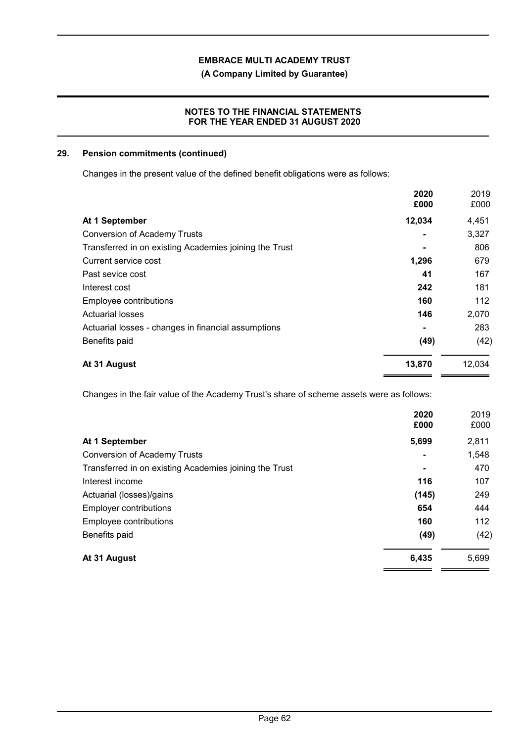**(A Company Limited by Guarantee)**

### **NOTES TO THE FINANCIAL STATEMENTS FOR THE YEAR ENDED 31 AUGUST 2020**

### **29. Pension commitments (continued)**

Changes in the present value of the defined benefit obligations were as follows:

|                                                        | 2020<br>£000 | 2019<br>£000 |
|--------------------------------------------------------|--------------|--------------|
| At 1 September                                         | 12,034       | 4,451        |
| <b>Conversion of Academy Trusts</b>                    |              | 3,327        |
| Transferred in on existing Academies joining the Trust |              | 806          |
| Current service cost                                   | 1,296        | 679          |
| Past sevice cost                                       | 41           | 167          |
| Interest cost                                          | 242          | 181          |
| Employee contributions                                 | 160          | 112          |
| <b>Actuarial losses</b>                                | 146          | 2,070        |
| Actuarial losses - changes in financial assumptions    |              | 283          |
| Benefits paid                                          | (49)         | (42)         |
| At 31 August                                           | 13,870       | 12,034       |

Changes in the fair value of the Academy Trust's share of scheme assets were as follows:

|                                                        | 2020<br>£000   | 2019<br>£000 |
|--------------------------------------------------------|----------------|--------------|
| At 1 September                                         | 5,699          | 2,811        |
| <b>Conversion of Academy Trusts</b>                    | $\blacksquare$ | 1,548        |
| Transferred in on existing Academies joining the Trust | $\blacksquare$ | 470          |
| Interest income                                        | 116            | 107          |
| Actuarial (losses)/gains                               | (145)          | 249          |
| <b>Employer contributions</b>                          | 654            | 444          |
| <b>Employee contributions</b>                          | 160            | 112          |
| Benefits paid                                          | (49)           | (42)         |
| At 31 August                                           | 6,435          | 5,699        |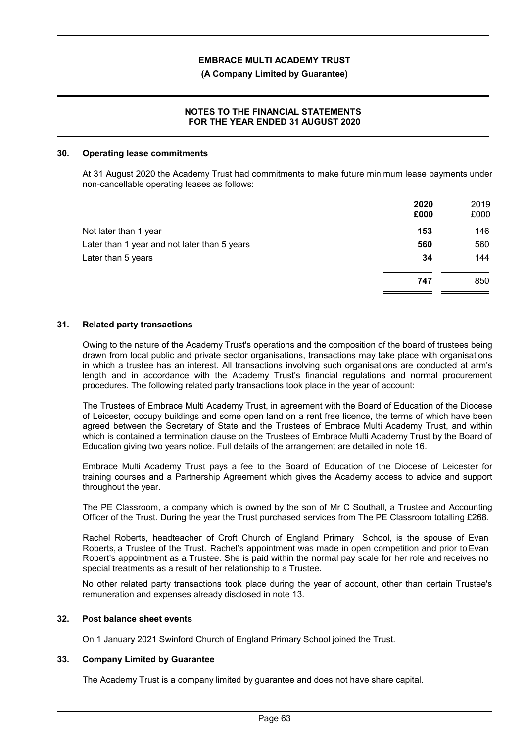### **(A Company Limited by Guarantee)**

### **NOTES TO THE FINANCIAL STATEMENTS FOR THE YEAR ENDED 31 AUGUST 2020**

#### **30. Operating lease commitments**

At 31 August 2020 the Academy Trust had commitments to make future minimum lease payments under non-cancellable operating leases as follows:

|                                              | 2020<br>£000 | 2019<br>£000 |
|----------------------------------------------|--------------|--------------|
| Not later than 1 year                        | 153          | 146          |
| Later than 1 year and not later than 5 years | 560          | 560          |
| Later than 5 years                           | 34           | 144          |
|                                              | 747          | 850          |

#### **31. Related party transactions**

Owing to the nature of the Academy Trust's operations and the composition of the board of trustees being drawn from local public and private sector organisations, transactions may take place with organisations in which a trustee has an interest. All transactions involving such organisations are conducted at arm's length and in accordance with the Academy Trust's financial regulations and normal procurement procedures. The following related party transactions took place in the year of account:

The Trustees of Embrace Multi Academy Trust, in agreement with the Board of Education of the Diocese of Leicester, occupy buildings and some open land on a rent free licence, the terms of which have been agreed between the Secretary of State and the Trustees of Embrace Multi Academy Trust, and within which is contained a termination clause on the Trustees of Embrace Multi Academy Trust by the Board of Education giving two years notice. Full details of the arrangement are detailed in note 16.

Embrace Multi Academy Trust pays a fee to the Board of Education of the Diocese of Leicester for training courses and a Partnership Agreement which gives the Academy access to advice and support throughout the year.

The PE Classroom, a company which is owned by the son of Mr C Southall, a Trustee and Accounting Officer of the Trust. During the year the Trust purchased services from The PE Classroom totalling £268.

Rachel Roberts, headteacher of Croft Church of England Primary School, is the spouse of Evan Roberts, a Trustee of the Trust. Rachel's appointment was made in open competition and prior to Evan Robert's appointment as a Trustee. She is paid within the normal pay scale for her role andreceives no special treatments as a result of her relationship to a Trustee.

No other related party transactions took place during the year of account, other than certain Trustee's remuneration and expenses already disclosed in note 13.

### **32. Post balance sheet events**

On 1 January 2021 Swinford Church of England Primary School joined the Trust.

### **33. Company Limited by Guarantee**

The Academy Trust is a company limited by guarantee and does not have share capital.